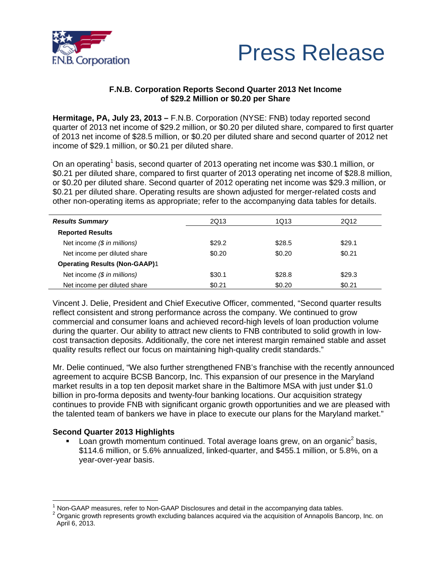



## **F.N.B. Corporation Reports Second Quarter 2013 Net Income of \$29.2 Million or \$0.20 per Share**

**Hermitage, PA, July 23, 2013 –** F.N.B. Corporation (NYSE: FNB) today reported second quarter of 2013 net income of \$29.2 million, or \$0.20 per diluted share, compared to first quarter of 2013 net income of \$28.5 million, or \$0.20 per diluted share and second quarter of 2012 net income of \$29.1 million, or \$0.21 per diluted share.

On an operating<sup>1</sup> basis, second quarter of 2013 operating net income was \$30.1 million, or \$0.21 per diluted share, compared to first quarter of 2013 operating net income of \$28.8 million, or \$0.20 per diluted share. Second quarter of 2012 operating net income was \$29.3 million, or \$0.21 per diluted share. Operating results are shown adjusted for merger-related costs and other non-operating items as appropriate; refer to the accompanying data tables for details.

| <b>Results Summary</b>               | 2Q13   | 1Q13   | 2Q12   |
|--------------------------------------|--------|--------|--------|
| <b>Reported Results</b>              |        |        |        |
| Net income $(\$$ in millions)        | \$29.2 | \$28.5 | \$29.1 |
| Net income per diluted share         | \$0.20 | \$0.20 | \$0.21 |
| <b>Operating Results (Non-GAAP)1</b> |        |        |        |
| Net income (\$ in millions)          | \$30.1 | \$28.8 | \$29.3 |
| Net income per diluted share         | \$0.21 | \$0.20 | \$0.21 |

Vincent J. Delie, President and Chief Executive Officer, commented, "Second quarter results reflect consistent and strong performance across the company. We continued to grow commercial and consumer loans and achieved record-high levels of loan production volume during the quarter. Our ability to attract new clients to FNB contributed to solid growth in lowcost transaction deposits. Additionally, the core net interest margin remained stable and asset quality results reflect our focus on maintaining high-quality credit standards."

Mr. Delie continued, "We also further strengthened FNB's franchise with the recently announced agreement to acquire BCSB Bancorp, Inc. This expansion of our presence in the Maryland market results in a top ten deposit market share in the Baltimore MSA with just under \$1.0 billion in pro-forma deposits and twenty-four banking locations. Our acquisition strategy continues to provide FNB with significant organic growth opportunities and we are pleased with the talented team of bankers we have in place to execute our plans for the Maryland market."

## **Second Quarter 2013 Highlights**

 $\overline{a}$ 

 $\blacksquare$  Loan growth momentum continued. Total average loans grew, on an organic<sup>2</sup> basis, \$114.6 million, or 5.6% annualized, linked-quarter, and \$455.1 million, or 5.8%, on a year-over-year basis.

 $<sup>1</sup>$  Non-GAAP measures, refer to Non-GAAP Disclosures and detail in the accompanying data tables.</sup>

 $2$  Organic growth represents growth excluding balances acquired via the acquisition of Annapolis Bancorp, Inc. on April 6, 2013.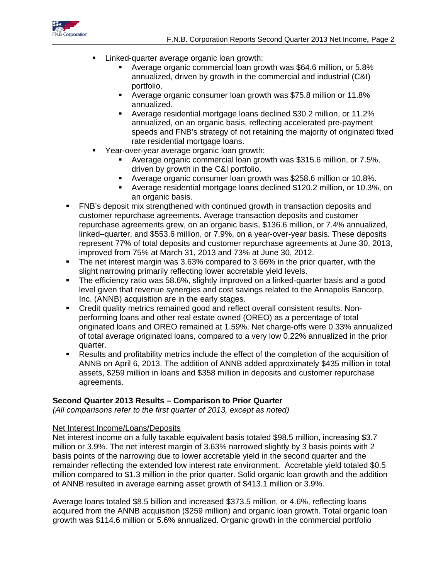

- **EXEC** Linked-quarter average organic loan growth:
	- Average organic commercial loan growth was \$64.6 million, or 5.8% annualized, driven by growth in the commercial and industrial (C&I) portfolio.
	- Average organic consumer loan growth was \$75.8 million or 11.8% annualized.
	- Average residential mortgage loans declined \$30.2 million, or 11.2% annualized, on an organic basis, reflecting accelerated pre-payment speeds and FNB's strategy of not retaining the majority of originated fixed rate residential mortgage loans.
- Year-over-year average organic loan growth:
	- Average organic commercial loan growth was \$315.6 million, or 7.5%, driven by growth in the C&I portfolio.
	- Average organic consumer loan growth was \$258.6 million or 10.8%.
	- Average residential mortgage loans declined \$120.2 million, or 10.3%, on an organic basis.
- FNB's deposit mix strengthened with continued growth in transaction deposits and customer repurchase agreements. Average transaction deposits and customer repurchase agreements grew, on an organic basis, \$136.6 million, or 7.4% annualized, linked–quarter, and \$553.6 million, or 7.9%, on a year-over-year basis. These deposits represent 77% of total deposits and customer repurchase agreements at June 30, 2013, improved from 75% at March 31, 2013 and 73% at June 30, 2012.
- The net interest margin was 3.63% compared to 3.66% in the prior quarter, with the slight narrowing primarily reflecting lower accretable yield levels.
- The efficiency ratio was 58.6%, slightly improved on a linked-quarter basis and a good level given that revenue synergies and cost savings related to the Annapolis Bancorp, Inc. (ANNB) acquisition are in the early stages.
- Credit quality metrics remained good and reflect overall consistent results. Nonperforming loans and other real estate owned (OREO) as a percentage of total originated loans and OREO remained at 1.59%. Net charge-offs were 0.33% annualized of total average originated loans, compared to a very low 0.22% annualized in the prior quarter.
- Results and profitability metrics include the effect of the completion of the acquisition of ANNB on April 6, 2013. The addition of ANNB added approximately \$435 million in total assets, \$259 million in loans and \$358 million in deposits and customer repurchase agreements.

# **Second Quarter 2013 Results – Comparison to Prior Quarter**

*(All comparisons refer to the first quarter of 2013, except as noted)* 

## Net Interest Income/Loans/Deposits

Net interest income on a fully taxable equivalent basis totaled \$98.5 million, increasing \$3.7 million or 3.9%. The net interest margin of 3.63% narrowed slightly by 3 basis points with 2 basis points of the narrowing due to lower accretable yield in the second quarter and the remainder reflecting the extended low interest rate environment. Accretable yield totaled \$0.5 million compared to \$1.3 million in the prior quarter. Solid organic loan growth and the addition of ANNB resulted in average earning asset growth of \$413.1 million or 3.9%.

Average loans totaled \$8.5 billion and increased \$373.5 million, or 4.6%, reflecting loans acquired from the ANNB acquisition (\$259 million) and organic loan growth. Total organic loan growth was \$114.6 million or 5.6% annualized. Organic growth in the commercial portfolio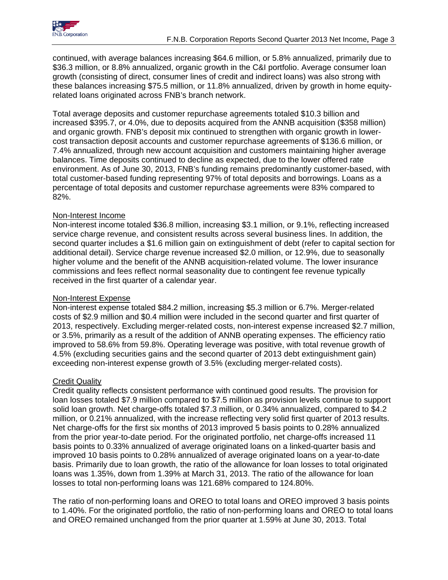

 $\overline{\phantom{a}}$ continued, with average balances increasing \$64.6 million, or 5.8% annualized, primarily due to \$36.3 million, or 8.8% annualized, organic growth in the C&I portfolio. Average consumer loan growth (consisting of direct, consumer lines of credit and indirect loans) was also strong with these balances increasing \$75.5 million, or 11.8% annualized, driven by growth in home equityrelated loans originated across FNB's branch network.

Total average deposits and customer repurchase agreements totaled \$10.3 billion and increased \$395.7, or 4.0%, due to deposits acquired from the ANNB acquisition (\$358 million) and organic growth. FNB's deposit mix continued to strengthen with organic growth in lowercost transaction deposit accounts and customer repurchase agreements of \$136.6 million, or 7.4% annualized, through new account acquisition and customers maintaining higher average balances. Time deposits continued to decline as expected, due to the lower offered rate environment. As of June 30, 2013, FNB's funding remains predominantly customer-based, with total customer-based funding representing 97% of total deposits and borrowings. Loans as a percentage of total deposits and customer repurchase agreements were 83% compared to 82%.

# Non-Interest Income

Non-interest income totaled \$36.8 million, increasing \$3.1 million, or 9.1%, reflecting increased service charge revenue, and consistent results across several business lines. In addition, the second quarter includes a \$1.6 million gain on extinguishment of debt (refer to capital section for additional detail). Service charge revenue increased \$2.0 million, or 12.9%, due to seasonally higher volume and the benefit of the ANNB acquisition-related volume. The lower insurance commissions and fees reflect normal seasonality due to contingent fee revenue typically received in the first quarter of a calendar year.

## Non-Interest Expense

Non-interest expense totaled \$84.2 million, increasing \$5.3 million or 6.7%. Merger-related costs of \$2.9 million and \$0.4 million were included in the second quarter and first quarter of 2013, respectively. Excluding merger-related costs, non-interest expense increased \$2.7 million, or 3.5%, primarily as a result of the addition of ANNB operating expenses. The efficiency ratio improved to 58.6% from 59.8%. Operating leverage was positive, with total revenue growth of 4.5% (excluding securities gains and the second quarter of 2013 debt extinguishment gain) exceeding non-interest expense growth of 3.5% (excluding merger-related costs).

## Credit Quality

Credit quality reflects consistent performance with continued good results. The provision for loan losses totaled \$7.9 million compared to \$7.5 million as provision levels continue to support solid loan growth. Net charge-offs totaled \$7.3 million, or 0.34% annualized, compared to \$4.2 million, or 0.21% annualized, with the increase reflecting very solid first quarter of 2013 results. Net charge-offs for the first six months of 2013 improved 5 basis points to 0.28% annualized from the prior year-to-date period. For the originated portfolio, net charge-offs increased 11 basis points to 0.33% annualized of average originated loans on a linked-quarter basis and improved 10 basis points to 0.28% annualized of average originated loans on a year-to-date basis. Primarily due to loan growth, the ratio of the allowance for loan losses to total originated loans was 1.35%, down from 1.39% at March 31, 2013. The ratio of the allowance for loan losses to total non-performing loans was 121.68% compared to 124.80%.

The ratio of non-performing loans and OREO to total loans and OREO improved 3 basis points to 1.40%. For the originated portfolio, the ratio of non-performing loans and OREO to total loans and OREO remained unchanged from the prior quarter at 1.59% at June 30, 2013. Total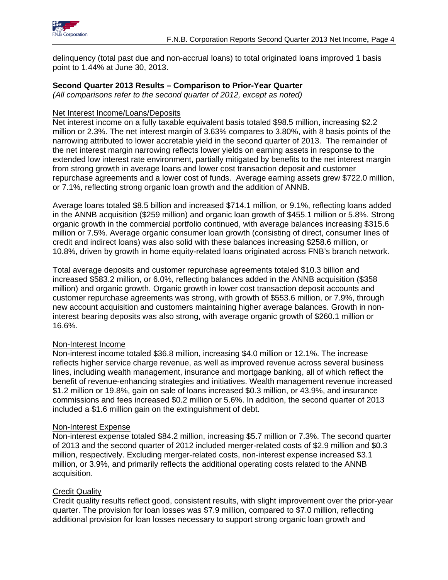

delinquency (total past due and non-accrual loans) to total originated loans improved 1 basis point to 1.44% at June 30, 2013.

## **Second Quarter 2013 Results – Comparison to Prior-Year Quarter**

*(All comparisons refer to the second quarter of 2012, except as noted)* 

## Net Interest Income/Loans/Deposits

Net interest income on a fully taxable equivalent basis totaled \$98.5 million, increasing \$2.2 million or 2.3%. The net interest margin of 3.63% compares to 3.80%, with 8 basis points of the narrowing attributed to lower accretable yield in the second quarter of 2013. The remainder of the net interest margin narrowing reflects lower yields on earning assets in response to the extended low interest rate environment, partially mitigated by benefits to the net interest margin from strong growth in average loans and lower cost transaction deposit and customer repurchase agreements and a lower cost of funds. Average earning assets grew \$722.0 million, or 7.1%, reflecting strong organic loan growth and the addition of ANNB.

Average loans totaled \$8.5 billion and increased \$714.1 million, or 9.1%, reflecting loans added in the ANNB acquisition (\$259 million) and organic loan growth of \$455.1 million or 5.8%. Strong organic growth in the commercial portfolio continued, with average balances increasing \$315.6 million or 7.5%. Average organic consumer loan growth (consisting of direct, consumer lines of credit and indirect loans) was also solid with these balances increasing \$258.6 million, or 10.8%, driven by growth in home equity-related loans originated across FNB's branch network.

Total average deposits and customer repurchase agreements totaled \$10.3 billion and increased \$583.2 million, or 6.0%, reflecting balances added in the ANNB acquisition (\$358 million) and organic growth. Organic growth in lower cost transaction deposit accounts and customer repurchase agreements was strong, with growth of \$553.6 million, or 7.9%, through new account acquisition and customers maintaining higher average balances. Growth in noninterest bearing deposits was also strong, with average organic growth of \$260.1 million or 16.6%.

## Non-Interest Income

Non-interest income totaled \$36.8 million, increasing \$4.0 million or 12.1%. The increase reflects higher service charge revenue, as well as improved revenue across several business lines, including wealth management, insurance and mortgage banking, all of which reflect the benefit of revenue-enhancing strategies and initiatives. Wealth management revenue increased \$1.2 million or 19.8%, gain on sale of loans increased \$0.3 million, or 43.9%, and insurance commissions and fees increased \$0.2 million or 5.6%. In addition, the second quarter of 2013 included a \$1.6 million gain on the extinguishment of debt.

## Non-Interest Expense

Non-interest expense totaled \$84.2 million, increasing \$5.7 million or 7.3%. The second quarter of 2013 and the second quarter of 2012 included merger-related costs of \$2.9 million and \$0.3 million, respectively. Excluding merger-related costs, non-interest expense increased \$3.1 million, or 3.9%, and primarily reflects the additional operating costs related to the ANNB acquisition.

## **Credit Quality**

Credit quality results reflect good, consistent results, with slight improvement over the prior-year quarter. The provision for loan losses was \$7.9 million, compared to \$7.0 million, reflecting additional provision for loan losses necessary to support strong organic loan growth and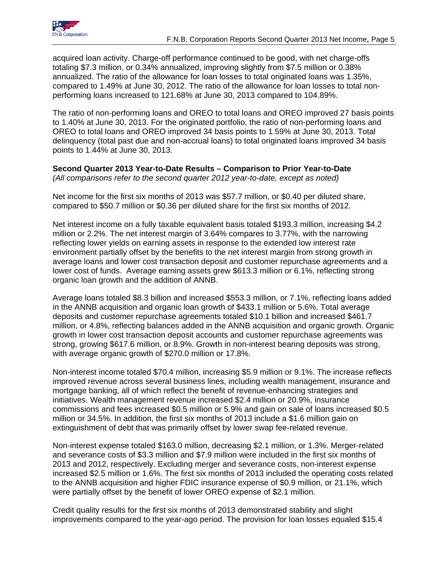

 $\overline{\phantom{a}}$ acquired loan activity. Charge-off performance continued to be good, with net charge-offs totaling \$7.3 million, or 0.34% annualized, improving slightly from \$7.5 million or 0.38% annualized. The ratio of the allowance for loan losses to total originated loans was 1.35%, compared to 1.49% at June 30, 2012. The ratio of the allowance for loan losses to total nonperforming loans increased to 121.68% at June 30, 2013 compared to 104.89%.

The ratio of non-performing loans and OREO to total loans and OREO improved 27 basis points to 1.40% at June 30, 2013. For the originated portfolio, the ratio of non-performing loans and OREO to total loans and OREO improved 34 basis points to 1.59% at June 30, 2013. Total delinquency (total past due and non-accrual loans) to total originated loans improved 34 basis points to 1.44% at June 30, 2013.

## **Second Quarter 2013 Year-to-Date Results – Comparison to Prior Year-to-Date**

*(All comparisons refer to the second quarter 2012 year-to-date, except as noted)* 

Net income for the first six months of 2013 was \$57.7 million, or \$0.40 per diluted share, compared to \$50.7 million or \$0.36 per diluted share for the first six months of 2012.

Net interest income on a fully taxable equivalent basis totaled \$193.3 million, increasing \$4.2 million or 2.2%. The net interest margin of 3.64% compares to 3.77%, with the narrowing reflecting lower yields on earning assets in response to the extended low interest rate environment partially offset by the benefits to the net interest margin from strong growth in average loans and lower cost transaction deposit and customer repurchase agreements and a lower cost of funds. Average earning assets grew \$613.3 million or 6.1%, reflecting strong organic loan growth and the addition of ANNB.

Average loans totaled \$8.3 billion and increased \$553.3 million, or 7.1%, reflecting loans added in the ANNB acquisition and organic loan growth of \$433.1 million or 5.6%. Total average deposits and customer repurchase agreements totaled \$10.1 billion and increased \$461.7 million, or 4.8%, reflecting balances added in the ANNB acquisition and organic growth. Organic growth in lower cost transaction deposit accounts and customer repurchase agreements was strong, growing \$617.6 million, or 8.9%. Growth in non-interest bearing deposits was strong, with average organic growth of \$270.0 million or 17.8%.

Non-interest income totaled \$70.4 million, increasing \$5.9 million or 9.1%. The increase reflects improved revenue across several business lines, including wealth management, insurance and mortgage banking, all of which reflect the benefit of revenue-enhancing strategies and initiatives. Wealth management revenue increased \$2.4 million or 20.9%, insurance commissions and fees increased \$0.5 million or 5.9% and gain on sale of loans increased \$0.5 million or 34.5%. In addition, the first six months of 2013 include a \$1.6 million gain on extinguishment of debt that was primarily offset by lower swap fee-related revenue.

Non-interest expense totaled \$163.0 million, decreasing \$2.1 million, or 1.3%. Merger-related and severance costs of \$3.3 million and \$7.9 million were included in the first six months of 2013 and 2012, respectively. Excluding merger and severance costs, non-interest expense increased \$2.5 million or 1.6%. The first six months of 2013 included the operating costs related to the ANNB acquisition and higher FDIC insurance expense of \$0.9 million, or 21.1%, which were partially offset by the benefit of lower OREO expense of \$2.1 million.

Credit quality results for the first six months of 2013 demonstrated stability and slight improvements compared to the year-ago period. The provision for loan losses equaled \$15.4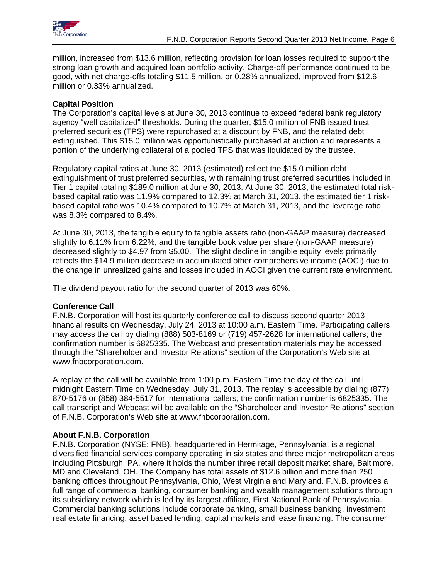

million, increased from \$13.6 million, reflecting provision for loan losses required to support the strong loan growth and acquired loan portfolio activity. Charge-off performance continued to be good, with net charge-offs totaling \$11.5 million, or 0.28% annualized, improved from \$12.6 million or 0.33% annualized.

# **Capital Position**

The Corporation's capital levels at June 30, 2013 continue to exceed federal bank regulatory agency "well capitalized" thresholds. During the quarter, \$15.0 million of FNB issued trust preferred securities (TPS) were repurchased at a discount by FNB, and the related debt extinguished. This \$15.0 million was opportunistically purchased at auction and represents a portion of the underlying collateral of a pooled TPS that was liquidated by the trustee.

Regulatory capital ratios at June 30, 2013 (estimated) reflect the \$15.0 million debt extinguishment of trust preferred securities, with remaining trust preferred securities included in Tier 1 capital totaling \$189.0 million at June 30, 2013. At June 30, 2013, the estimated total riskbased capital ratio was 11.9% compared to 12.3% at March 31, 2013, the estimated tier 1 riskbased capital ratio was 10.4% compared to 10.7% at March 31, 2013, and the leverage ratio was 8.3% compared to 8.4%.

At June 30, 2013, the tangible equity to tangible assets ratio (non-GAAP measure) decreased slightly to 6.11% from 6.22%, and the tangible book value per share (non-GAAP measure) decreased slightly to \$4.97 from \$5.00. The slight decline in tangible equity levels primarily reflects the \$14.9 million decrease in accumulated other comprehensive income (AOCI) due to the change in unrealized gains and losses included in AOCI given the current rate environment.

The dividend payout ratio for the second quarter of 2013 was 60%.

## **Conference Call**

F.N.B. Corporation will host its quarterly conference call to discuss second quarter 2013 financial results on Wednesday, July 24, 2013 at 10:00 a.m. Eastern Time. Participating callers may access the call by dialing (888) 503-8169 or (719) 457-2628 for international callers; the confirmation number is 6825335. The Webcast and presentation materials may be accessed through the "Shareholder and Investor Relations" section of the Corporation's Web site at www.fnbcorporation.com.

A replay of the call will be available from 1:00 p.m. Eastern Time the day of the call until midnight Eastern Time on Wednesday, July 31, 2013. The replay is accessible by dialing (877) 870-5176 or (858) 384-5517 for international callers; the confirmation number is 6825335. The call transcript and Webcast will be available on the "Shareholder and Investor Relations" section of F.N.B. Corporation's Web site at www.fnbcorporation.com.

## **About F.N.B. Corporation**

F.N.B. Corporation (NYSE: FNB), headquartered in Hermitage, Pennsylvania, is a regional diversified financial services company operating in six states and three major metropolitan areas including Pittsburgh, PA, where it holds the number three retail deposit market share, Baltimore, MD and Cleveland, OH. The Company has total assets of \$12.6 billion and more than 250 banking offices throughout Pennsylvania, Ohio, West Virginia and Maryland. F.N.B. provides a full range of commercial banking, consumer banking and wealth management solutions through its subsidiary network which is led by its largest affiliate, First National Bank of Pennsylvania. Commercial banking solutions include corporate banking, small business banking, investment real estate financing, asset based lending, capital markets and lease financing. The consumer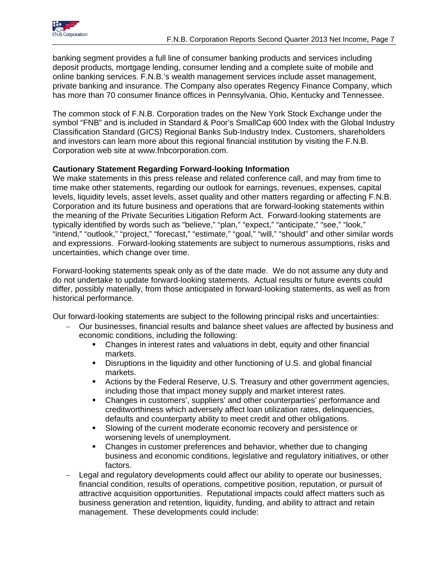

 $\overline{\phantom{a}}$ banking segment provides a full line of consumer banking products and services including deposit products, mortgage lending, consumer lending and a complete suite of mobile and online banking services. F.N.B.'s wealth management services include asset management, private banking and insurance. The Company also operates Regency Finance Company, which has more than 70 consumer finance offices in Pennsylvania, Ohio, Kentucky and Tennessee.

The common stock of F.N.B. Corporation trades on the New York Stock Exchange under the symbol "FNB" and is included in Standard & Poor's SmallCap 600 Index with the Global Industry Classification Standard (GICS) Regional Banks Sub-Industry Index. Customers, shareholders and investors can learn more about this regional financial institution by visiting the F.N.B. Corporation web site at www.fnbcorporation.com.

## **Cautionary Statement Regarding Forward-looking Information**

We make statements in this press release and related conference call, and may from time to time make other statements, regarding our outlook for earnings, revenues, expenses, capital levels, liquidity levels, asset levels, asset quality and other matters regarding or affecting F.N.B. Corporation and its future business and operations that are forward-looking statements within the meaning of the Private Securities Litigation Reform Act. Forward-looking statements are typically identified by words such as "believe," "plan," "expect," "anticipate," "see," "look," "intend," "outlook," "project," "forecast," "estimate," "goal," "will," "should" and other similar words and expressions. Forward-looking statements are subject to numerous assumptions, risks and uncertainties, which change over time.

Forward-looking statements speak only as of the date made. We do not assume any duty and do not undertake to update forward-looking statements. Actual results or future events could differ, possibly materially, from those anticipated in forward-looking statements, as well as from historical performance.

Our forward-looking statements are subject to the following principal risks and uncertainties:

- Our businesses, financial results and balance sheet values are affected by business and economic conditions, including the following:
	- Changes in interest rates and valuations in debt, equity and other financial markets.
	- Disruptions in the liquidity and other functioning of U.S. and global financial markets.
	- Actions by the Federal Reserve, U.S. Treasury and other government agencies, including those that impact money supply and market interest rates.
	- Changes in customers', suppliers' and other counterparties' performance and creditworthiness which adversely affect loan utilization rates, delinquencies, defaults and counterparty ability to meet credit and other obligations.
	- Slowing of the current moderate economic recovery and persistence or worsening levels of unemployment.
	- Changes in customer preferences and behavior, whether due to changing business and economic conditions, legislative and regulatory initiatives, or other factors.
- Legal and regulatory developments could affect our ability to operate our businesses, financial condition, results of operations, competitive position, reputation, or pursuit of attractive acquisition opportunities. Reputational impacts could affect matters such as business generation and retention, liquidity, funding, and ability to attract and retain management. These developments could include: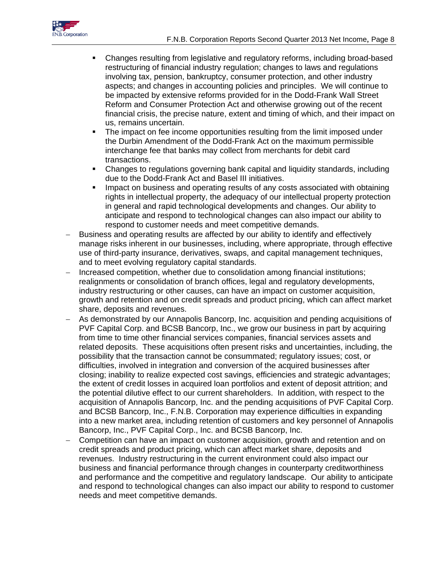

- Changes resulting from legislative and regulatory reforms, including broad-based restructuring of financial industry regulation; changes to laws and regulations involving tax, pension, bankruptcy, consumer protection, and other industry aspects; and changes in accounting policies and principles. We will continue to be impacted by extensive reforms provided for in the Dodd-Frank Wall Street Reform and Consumer Protection Act and otherwise growing out of the recent financial crisis, the precise nature, extent and timing of which, and their impact on us, remains uncertain.
- **The impact on fee income opportunities resulting from the limit imposed under** the Durbin Amendment of the Dodd-Frank Act on the maximum permissible interchange fee that banks may collect from merchants for debit card transactions.
- Changes to regulations governing bank capital and liquidity standards, including due to the Dodd-Frank Act and Basel III initiatives.
- **IMPACT ON BUS 2018 IMP** 1950 impact on business and operating results of any costs associated with obtaining rights in intellectual property, the adequacy of our intellectual property protection in general and rapid technological developments and changes. Our ability to anticipate and respond to technological changes can also impact our ability to respond to customer needs and meet competitive demands.
- Business and operating results are affected by our ability to identify and effectively manage risks inherent in our businesses, including, where appropriate, through effective use of third-party insurance, derivatives, swaps, and capital management techniques, and to meet evolving regulatory capital standards.
- Increased competition, whether due to consolidation among financial institutions; realignments or consolidation of branch offices, legal and regulatory developments, industry restructuring or other causes, can have an impact on customer acquisition, growth and retention and on credit spreads and product pricing, which can affect market share, deposits and revenues.
- As demonstrated by our Annapolis Bancorp, Inc. acquisition and pending acquisitions of PVF Capital Corp. and BCSB Bancorp, Inc., we grow our business in part by acquiring from time to time other financial services companies, financial services assets and related deposits. These acquisitions often present risks and uncertainties, including, the possibility that the transaction cannot be consummated; regulatory issues; cost, or difficulties, involved in integration and conversion of the acquired businesses after closing; inability to realize expected cost savings, efficiencies and strategic advantages; the extent of credit losses in acquired loan portfolios and extent of deposit attrition; and the potential dilutive effect to our current shareholders. In addition, with respect to the acquisition of Annapolis Bancorp, Inc. and the pending acquisitions of PVF Capital Corp. and BCSB Bancorp, Inc., F.N.B. Corporation may experience difficulties in expanding into a new market area, including retention of customers and key personnel of Annapolis Bancorp, Inc., PVF Capital Corp., Inc. and BCSB Bancorp, Inc.
- Competition can have an impact on customer acquisition, growth and retention and on credit spreads and product pricing, which can affect market share, deposits and revenues. Industry restructuring in the current environment could also impact our business and financial performance through changes in counterparty creditworthiness and performance and the competitive and regulatory landscape. Our ability to anticipate and respond to technological changes can also impact our ability to respond to customer needs and meet competitive demands.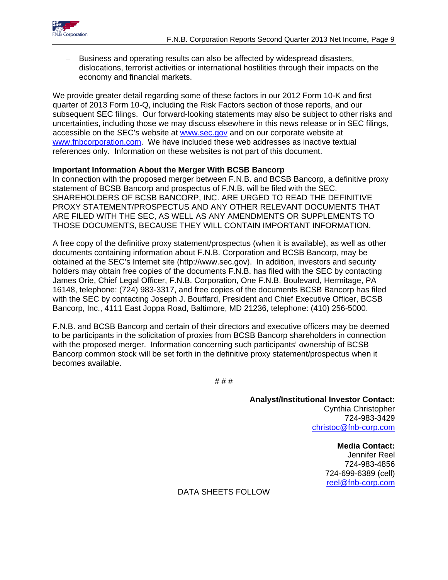

 Business and operating results can also be affected by widespread disasters, dislocations, terrorist activities or international hostilities through their impacts on the economy and financial markets.

We provide greater detail regarding some of these factors in our 2012 Form 10-K and first quarter of 2013 Form 10-Q, including the Risk Factors section of those reports, and our subsequent SEC filings. Our forward-looking statements may also be subject to other risks and uncertainties, including those we may discuss elsewhere in this news release or in SEC filings, accessible on the SEC's website at www.sec.gov and on our corporate website at www.fnbcorporation.com. We have included these web addresses as inactive textual references only. Information on these websites is not part of this document.

## **Important Information About the Merger With BCSB Bancorp**

In connection with the proposed merger between F.N.B. and BCSB Bancorp, a definitive proxy statement of BCSB Bancorp and prospectus of F.N.B. will be filed with the SEC. SHAREHOLDERS OF BCSB BANCORP, INC. ARE URGED TO READ THE DEFINITIVE PROXY STATEMENT/PROSPECTUS AND ANY OTHER RELEVANT DOCUMENTS THAT ARE FILED WITH THE SEC, AS WELL AS ANY AMENDMENTS OR SUPPLEMENTS TO THOSE DOCUMENTS, BECAUSE THEY WILL CONTAIN IMPORTANT INFORMATION.

A free copy of the definitive proxy statement/prospectus (when it is available), as well as other documents containing information about F.N.B. Corporation and BCSB Bancorp, may be obtained at the SEC's Internet site (http://www.sec.gov). In addition, investors and security holders may obtain free copies of the documents F.N.B. has filed with the SEC by contacting James Orie, Chief Legal Officer, F.N.B. Corporation, One F.N.B. Boulevard, Hermitage, PA 16148, telephone: (724) 983-3317, and free copies of the documents BCSB Bancorp has filed with the SEC by contacting Joseph J. Bouffard, President and Chief Executive Officer, BCSB Bancorp, Inc., 4111 East Joppa Road, Baltimore, MD 21236, telephone: (410) 256-5000.

F.N.B. and BCSB Bancorp and certain of their directors and executive officers may be deemed to be participants in the solicitation of proxies from BCSB Bancorp shareholders in connection with the proposed merger. Information concerning such participants' ownership of BCSB Bancorp common stock will be set forth in the definitive proxy statement/prospectus when it becomes available.

# # #

**Analyst/Institutional Investor Contact:** Cynthia Christopher 724-983-3429 christoc@fnb-corp.com

> **Media Contact:**  Jennifer Reel 724-983-4856 724-699-6389 (cell) reel@fnb-corp.com

DATA SHEETS FOLLOW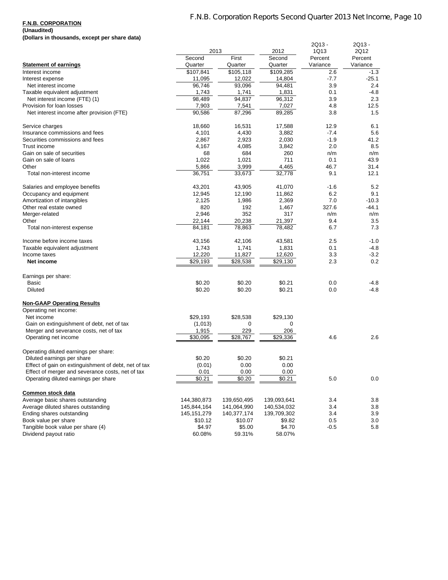### **(Unaudited)**

| onaro in thousanas, choopt por share aata            |               |                      |             | 2Q13 -   | 2Q13 -   |
|------------------------------------------------------|---------------|----------------------|-------------|----------|----------|
|                                                      |               | 2013                 |             | 1Q13     | 2Q12     |
|                                                      | Second        | First                | Second      | Percent  | Percent  |
| <b>Statement of earnings</b>                         | Quarter       | Quarter              | Quarter     | Variance | Variance |
| Interest income                                      | \$107,841     | \$105,118            | \$109,285   | 2.6      | $-1.3$   |
| Interest expense                                     | 11,095        | 12,022               | 14,804      | $-7.7$   | $-25.1$  |
| Net interest income                                  | 96,746        | 93,096               | 94,481      | 3.9      | 2.4      |
| Taxable equivalent adjustment                        | 1,743         | 1,741                | 1,831       | 0.1      | $-4.8$   |
| Net interest income (FTE) (1)                        | 98,489        | 94,837               | 96,312      | 3.9      | 2.3      |
| Provision for loan losses                            | 7,903         | 7,541                | 7,027       | 4.8      | 12.5     |
| Net interest income after provision (FTE)            | 90,586        | 87,296               | 89,285      | 3.8      | 1.5      |
| Service charges                                      | 18,660        | 16,531               | 17,588      | 12.9     | 6.1      |
| Insurance commissions and fees                       | 4,101         | 4,430                | 3,882       | $-7.4$   | 5.6      |
| Securities commissions and fees                      | 2,867         | 2,923                | 2,030       | $-1.9$   | 41.2     |
| Trust income                                         | 4,167         | 4,085                | 3,842       | 2.0      | 8.5      |
| Gain on sale of securities                           | 68            | 684                  | 260         | n/m      | n/m      |
| Gain on sale of loans                                | 1,022         | 1,021                | 711         | 0.1      | 43.9     |
| Other                                                | 5,866         | 3,999                | 4,465       | 46.7     | 31.4     |
| Total non-interest income                            | 36,751        | 33,673               | 32,778      | 9.1      | 12.1     |
| Salaries and employee benefits                       | 43,201        | 43,905               | 41,070      | $-1.6$   | 5.2      |
| Occupancy and equipment                              | 12,945        | 12,190               | 11,862      | 6.2      | 9.1      |
| Amortization of intangibles                          | 2,125         | 1,986                | 2,369       | 7.0      | $-10.3$  |
| Other real estate owned                              | 820           | 192                  | 1,467       | 327.6    | $-44.1$  |
| Merger-related                                       | 2,946         | 352                  | 317         | n/m      | n/m      |
| Other                                                | 22,144        | 20,238               | 21,397      | 9.4      | 3.5      |
| Total non-interest expense                           | 84,181        | 78,863               | 78,482      | 6.7      | 7.3      |
| Income before income taxes                           | 43,156        | 42,106               | 43,581      | 2.5      | $-1.0$   |
| Taxable equivalent adjustment                        | 1,743         | 1,741                | 1,831       | 0.1      | $-4.8$   |
| Income taxes                                         | 12,220        | 11,827               | 12,620      | 3.3      | $-3.2$   |
| Net income                                           | \$29,193      | $\overline{$}28,538$ | \$29,130    | 2.3      | 0.2      |
| Earnings per share:                                  |               |                      |             |          |          |
| <b>Basic</b>                                         | \$0.20        | \$0.20               | \$0.21      | $0.0\,$  | $-4.8$   |
| <b>Diluted</b>                                       | \$0.20        | \$0.20               | \$0.21      | 0.0      | $-4.8$   |
| <b>Non-GAAP Operating Results</b>                    |               |                      |             |          |          |
| Operating net income:                                |               |                      |             |          |          |
| Net income                                           | \$29,193      | \$28,538             | \$29,130    |          |          |
| Gain on extinguishment of debt, net of tax           | (1,013)       | 0                    | $\mathbf 0$ |          |          |
| Merger and severance costs, net of tax               | 1,915         | 229                  | 206         |          |          |
| Operating net income                                 | \$30,095      | \$28,767             | \$29,336    | 4.6      | 2.6      |
| Operating diluted earnings per share:                |               |                      |             |          |          |
| Diluted earnings per share                           | \$0.20        | \$0.20               | \$0.21      |          |          |
| Effect of gain on extinguishment of debt, net of tax | (0.01)        | 0.00                 | 0.00        |          |          |
| Effect of merger and severance costs, net of tax     | 0.01          | $0.00\,$             | 0.00        |          |          |
| Operating diluted earnings per share                 | \$0.21        | \$0.20               | \$0.21      | 5.0      | 0.0      |
| Common stock data                                    |               |                      |             |          |          |
| Average basic shares outstanding                     | 144,380,873   | 139,650,495          | 139,093,641 | 3.4      | 3.8      |
| Average diluted shares outstanding                   | 145,844,164   | 141,064,990          | 140,534,032 | 3.4      | 3.8      |
| Ending shares outstanding                            | 145, 151, 279 | 140,377,174          | 139,709,302 | 3.4      | 3.9      |
| Book value per share                                 | \$10.12       | \$10.07              | \$9.82      | 0.5      | 3.0      |
| Tangible book value per share (4)                    | \$4.97        | \$5.00               | \$4.70      | $-0.5$   | 5.8      |
| Dividend payout ratio                                | 60.08%        | 59.31%               | 58.07%      |          |          |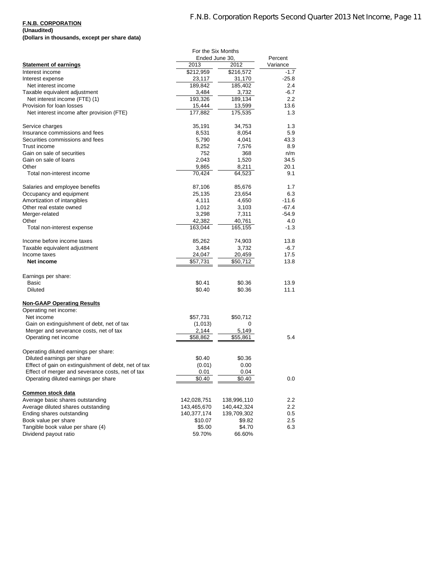### **(Unaudited)**

|                                                      | For the Six Months |                    |              |
|------------------------------------------------------|--------------------|--------------------|--------------|
|                                                      | Ended June 30,     |                    | Percent      |
| <b>Statement of earnings</b>                         | 2013               | 2012               | Variance     |
| Interest income                                      | \$212,959          | \$216,572          | -1.7         |
| Interest expense                                     | 23,117             | 31,170             | $-25.8$      |
| Net interest income                                  | 189,842            | 185,402            | 2.4          |
| Taxable equivalent adjustment                        | 3,484              | 3,732              | -6.7         |
| Net interest income (FTE) (1)                        | 193,326            | 189,134            | 2.2          |
| Provision for loan losses                            | 15,444             | 13,599             | 13.6         |
| Net interest income after provision (FTE)            | 177,882            | 175,535            | 1.3          |
| Service charges                                      | 35,191             | 34,753             | 1.3          |
| Insurance commissions and fees                       | 8,531              | 8,054              | 5.9          |
| Securities commissions and fees                      | 5,790              | 4,041              | 43.3         |
| Trust income                                         | 8,252              | 7,576              | 8.9          |
| Gain on sale of securities                           | 752                | 368                | n/m          |
| Gain on sale of loans                                | 2,043              | 1,520              | 34.5         |
| Other                                                | 9,865              | 8,211              | 20.1         |
| Total non-interest income                            | 70,424             | 64,523             | 9.1          |
| Salaries and employee benefits                       | 87,106             | 85,676             | 1.7          |
| Occupancy and equipment                              | 25,135             | 23,654             | 6.3          |
| Amortization of intangibles                          | 4,111              | 4,650              | $-11.6$      |
| Other real estate owned                              | 1,012              | 3,103              | $-67.4$      |
| Merger-related                                       | 3,298              | 7,311              | $-54.9$      |
| Other                                                | 42,382             | 40,761             | 4.0          |
| Total non-interest expense                           | 163,044            | 165,155            | $-1.3$       |
| Income before income taxes                           | 85,262             |                    | 13.8         |
|                                                      | 3,484              | 74,903             |              |
| Taxable equivalent adjustment<br>Income taxes        |                    | 3,732              | $-6.7$       |
| Net income                                           | 24,047<br>\$57,731 | 20,459<br>\$50,712 | 17.5<br>13.8 |
|                                                      |                    |                    |              |
| Earnings per share:                                  |                    |                    |              |
| Basic                                                | \$0.41             | \$0.36             | 13.9         |
| Diluted                                              | \$0.40             | \$0.36             | 11.1         |
| <b>Non-GAAP Operating Results</b>                    |                    |                    |              |
| Operating net income:                                |                    |                    |              |
| Net income                                           | \$57,731           | \$50,712           |              |
| Gain on extinguishment of debt, net of tax           | (1,013)            | 0                  |              |
| Merger and severance costs, net of tax               | 2,144              | 5,149              |              |
| Operating net income                                 | \$58,862           | \$55,861           | 5.4          |
| Operating diluted earnings per share:                |                    |                    |              |
| Diluted earnings per share                           | \$0.40             | \$0.36             |              |
| Effect of gain on extinguishment of debt, net of tax | (0.01)             | 0.00               |              |
| Effect of merger and severance costs, net of tax     | 0.01               | 0.04               |              |
| Operating diluted earnings per share                 | \$0.40             | \$0.40             | 0.0          |
|                                                      |                    |                    |              |
| Common stock data                                    |                    |                    |              |
| Average basic shares outstanding                     | 142,028,751        | 138,996,110        | 2.2          |
| Average diluted shares outstanding                   | 143,465,670        | 140,442,324        | $2.2\,$      |
| Ending shares outstanding                            | 140,377,174        | 139,709,302        | 0.5          |
| Book value per share                                 | \$10.07            | \$9.82             | 2.5          |
| Tangible book value per share (4)                    | \$5.00             | \$4.70             | 6.3          |
| Dividend payout ratio                                | 59.70%             | 66.60%             |              |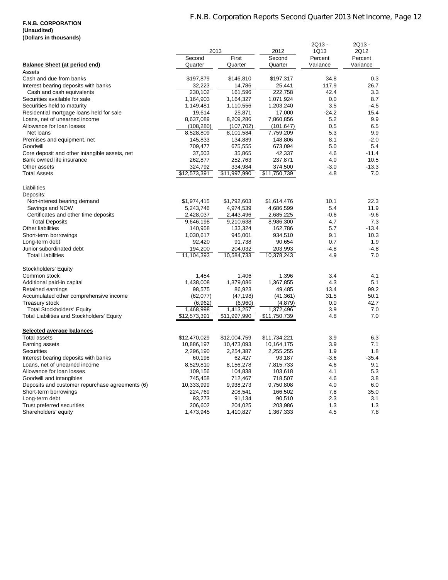| 19911a19 111 thousands                          |              | 2013         | 2012         | 2Q13 -<br><b>1Q13</b> | 2Q13 -<br><b>2Q12</b> |
|-------------------------------------------------|--------------|--------------|--------------|-----------------------|-----------------------|
|                                                 | Second       | First        | Second       | Percent               | Percent               |
| <b>Balance Sheet (at period end)</b>            | Quarter      | Quarter      | Quarter      | Variance              | Variance              |
| Assets                                          |              |              |              |                       |                       |
| Cash and due from banks                         | \$197,879    | \$146,810    | \$197,317    | 34.8                  | 0.3                   |
| Interest bearing deposits with banks            | 32,223       | 14,786       | 25,441       | 117.9                 | 26.7                  |
| Cash and cash equivalents                       | 230,102      | 161.596      | 222.758      | 42.4                  | 3.3                   |
| Securities available for sale                   | 1,164,903    | 1,164,327    | 1,071,924    | 0.0                   | 8.7                   |
| Securities held to maturity                     | 1,149,481    | 1,110,556    | 1,203,240    | 3.5                   | $-4.5$                |
| Residential mortgage loans held for sale        | 19,614       | 25,871       | 17,000       | $-24.2$               | 15.4                  |
| Loans, net of unearned income                   | 8,637,089    | 8,209,286    | 7,860,856    | 5.2                   | 9.9                   |
| Allowance for loan losses                       | (108, 280)   | (107, 702)   | (101, 647)   | 0.5                   | 6.5                   |
| Net loans                                       | 8,528,809    | 8,101,584    | 7,759,209    | 5.3                   | 9.9                   |
| Premises and equipment, net                     | 145,833      | 134,889      | 148,806      | 8.1                   | $-2.0$                |
| Goodwill                                        | 709,477      | 675,555      | 673,094      | 5.0                   | 5.4                   |
| Core deposit and other intangible assets, net   | 37,503       | 35,865       | 42,337       | 4.6                   | $-11.4$               |
| Bank owned life insurance                       | 262,877      | 252,763      | 237,871      | 4.0                   | 10.5                  |
| Other assets                                    | 324,792      | 334,984      | 374,500      | $-3.0$                | $-13.3$               |
| <b>Total Assets</b>                             | \$12,573,391 | \$11,997,990 | \$11,750,739 | 4.8                   | 7.0                   |
| Liabilities                                     |              |              |              |                       |                       |
| Deposits:                                       |              |              |              |                       |                       |
| Non-interest bearing demand                     | \$1,974,415  | \$1,792,603  | \$1,614,476  | 10.1                  | 22.3                  |
| Savings and NOW                                 | 5,243,746    | 4,974,539    | 4,686,599    | 5.4                   | 11.9                  |
| Certificates and other time deposits            | 2,428,037    | 2,443,496    | 2,685,225    | $-0.6$                | $-9.6$                |
| <b>Total Deposits</b>                           | 9,646,198    | 9,210,638    | 8,986,300    | 4.7                   | 7.3                   |
| <b>Other liabilities</b>                        | 140,958      | 133,324      | 162,786      | 5.7                   | $-13.4$               |
| Short-term borrowings                           | 1,030,617    | 945,001      | 934,510      | 9.1                   | 10.3                  |
| Long-term debt                                  | 92,420       | 91,738       | 90,654       | 0.7                   | 1.9                   |
| Junior subordinated debt                        | 194,200      | 204,032      | 203,993      | $-4.8$                | $-4.8$                |
| <b>Total Liabilities</b>                        | 11,104,393   | 10,584,733   | 10,378,243   | 4.9                   | 7.0                   |
| Stockholders' Equity                            |              |              |              |                       |                       |
| Common stock                                    | 1,454        | 1,406        | 1,396        | 3.4                   | 4.1                   |
| Additional paid-in capital                      | 1,438,008    | 1,379,086    | 1,367,855    | 4.3                   | 5.1                   |
| Retained earnings                               | 98,575       | 86,923       | 49,485       | 13.4                  | 99.2                  |
| Accumulated other comprehensive income          | (62, 077)    | (47, 198)    | (41, 361)    | 31.5                  | 50.1                  |
| <b>Treasury stock</b>                           | (6,962)      | (6,960)      | (4, 879)     | 0.0                   | 42.7                  |
| <b>Total Stockholders' Equity</b>               | 1,468,998    | 1,413,257    | 1,372,496    | 3.9                   | 7.0                   |
| Total Liabilities and Stockholders' Equity      | \$12,573,391 | \$11,997,990 | \$11,750,739 | 4.8                   | 7.0                   |
| Selected average balances                       |              |              |              |                       |                       |
| <b>Total assets</b>                             | \$12,470,029 | \$12,004,759 | \$11,734,221 | 3.9                   | 6.3                   |
| Earning assets                                  | 10,886,197   | 10,473,093   | 10,164,175   | 3.9                   | 7.1                   |
| <b>Securities</b>                               | 2,296,190    | 2,254,387    | 2,255,255    | 1.9                   | 1.8                   |
| Interest bearing deposits with banks            | 60,198       | 62,427       | 93,187       | $-3.6$                | $-35.4$               |
| Loans, net of unearned income                   | 8,529,810    | 8,156,278    | 7,815,733    | 4.6                   | 9.1                   |
| Allowance for loan losses                       | 109,156      | 104,838      | 103,618      | 4.1                   | 5.3                   |
| Goodwill and intangibles                        | 745,458      | 712,467      | 718,507      | 4.6                   | 3.8                   |
| Deposits and customer repurchase agreements (6) | 10,333,999   | 9,938,273    | 9,750,808    | 4.0                   | 6.0                   |
| Short-term borrowings                           | 224,769      | 208,541      | 166,502      | 7.8                   | 35.0                  |
| Long-term debt                                  | 93,273       | 91,134       | 90,510       | 2.3                   | 3.1                   |
| Trust preferred securities                      | 206,602      | 204,025      | 203,986      | 1.3                   | 1.3                   |
| Shareholders' equity                            | 1,473,945    | 1,410,827    | 1,367,333    | 4.5                   | 7.8                   |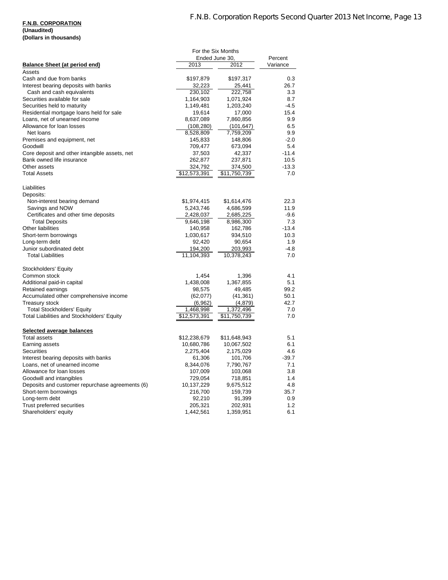# F.N.B. Corporation Reports Second Quarter 2013 Net Income, Page 13

### **F.N.B. CORPORATION**

### **(Unaudited)**

| Ended June 30.<br>Percent<br>2013<br><b>Balance Sheet (at period end)</b><br>2012<br>Variance<br>Assets<br>Cash and due from banks<br>\$197,879<br>\$197,317<br>0.3<br>Interest bearing deposits with banks<br>26.7<br>32,223<br>25,441<br>Cash and cash equivalents<br>230,102<br>222,758<br>3.3<br>Securities available for sale<br>8.7<br>1,164,903<br>1,071,924<br>Securities held to maturity<br>1,149,481<br>1,203,240<br>$-4.5$<br>Residential mortgage loans held for sale<br>19,614<br>17,000<br>15.4<br>Loans, net of unearned income<br>9.9<br>8,637,089<br>7,860,856<br>Allowance for loan losses<br>(108, 280)<br>(101, 647)<br>6.5<br>7,759,209<br>9.9<br>Net loans<br>8,528,809<br>$-2.0$<br>Premises and equipment, net<br>145,833<br>148,806<br>5.4<br>Goodwill<br>709,477<br>673,094<br>$-11.4$<br>Core deposit and other intangible assets, net<br>37,503<br>42,337<br>Bank owned life insurance<br>262,877<br>237,871<br>10.5<br>Other assets<br>$-13.3$<br>324,792<br>374,500<br><b>Total Assets</b><br>\$12,573,391<br>\$11,750,739<br>7.0<br>Liabilities<br>Deposits:<br>Non-interest bearing demand<br>\$1,614,476<br>22.3<br>\$1,974,415<br>Savings and NOW<br>4,686,599<br>11.9<br>5,243,746<br>Certificates and other time deposits<br>$-9.6$<br>2,428,037<br>2,685,225<br><b>Total Deposits</b><br>9,646,198<br>8,986,300<br>7.3<br>Other liabilities<br>140,958<br>162,786<br>$-13.4$<br>Short-term borrowings<br>1,030,617<br>934,510<br>10.3<br>1.9<br>Long-term debt<br>92,420<br>90,654<br>Junior subordinated debt<br>194,200<br>203,993<br>-4.8<br><b>Total Liabilities</b><br>11,104,393<br>10,378,243<br>7.0<br>Stockholders' Equity<br>Common stock<br>4.1<br>1,454<br>1,396<br>Additional paid-in capital<br>1,438,008<br>1,367,855<br>5.1<br>Retained earnings<br>49,485<br>99.2<br>98,575<br>Accumulated other comprehensive income<br>(62,077)<br>(41, 361)<br>50.1<br>42.7<br><b>Treasury stock</b><br>(6, 962)<br>(4,879)<br><b>Total Stockholders' Equity</b><br>1,468,998<br>1,372,496<br>7.0<br>Total Liabilities and Stockholders' Equity<br>\$12,573,391<br>\$11,750,739<br>7.0<br>Selected average balances<br><b>Total assets</b><br>\$12,238,679<br>\$11,648,943<br>5.1<br>Earning assets<br>10,680,786<br>10,067,502<br>6.1<br>Securities<br>2,275,404<br>2,175,029<br>4.6<br>Interest bearing deposits with banks<br>$-39.7$<br>101,706<br>61,306<br>Loans, net of unearned income<br>7.1<br>8,344,076<br>7,790,767<br>Allowance for loan losses<br>3.8<br>107,009<br>103,068<br>Goodwill and intangibles<br>729,054<br>718,851<br>1.4<br>Deposits and customer repurchase agreements (6)<br>10,137,229<br>4.8<br>9,675,512<br>Short-term borrowings<br>216,700<br>159,739<br>35.7<br>Long-term debt<br>92,210<br>91,399<br>0.9<br>Trust preferred securities<br>205,321<br>202,931<br>1.2<br>6.1<br>Shareholders' equity<br>1,442,561<br>1,359,951 | For the Six Months |  |  |  |
|-----------------------------------------------------------------------------------------------------------------------------------------------------------------------------------------------------------------------------------------------------------------------------------------------------------------------------------------------------------------------------------------------------------------------------------------------------------------------------------------------------------------------------------------------------------------------------------------------------------------------------------------------------------------------------------------------------------------------------------------------------------------------------------------------------------------------------------------------------------------------------------------------------------------------------------------------------------------------------------------------------------------------------------------------------------------------------------------------------------------------------------------------------------------------------------------------------------------------------------------------------------------------------------------------------------------------------------------------------------------------------------------------------------------------------------------------------------------------------------------------------------------------------------------------------------------------------------------------------------------------------------------------------------------------------------------------------------------------------------------------------------------------------------------------------------------------------------------------------------------------------------------------------------------------------------------------------------------------------------------------------------------------------------------------------------------------------------------------------------------------------------------------------------------------------------------------------------------------------------------------------------------------------------------------------------------------------------------------------------------------------------------------------------------------------------------------------------------------------------------------------------------------------------------------------------------------------------------------------------------------------------------------------------------------------------------------------------------------------------------------------------------------------------------------------------------------------------------------------------------------------------------------------------|--------------------|--|--|--|
|                                                                                                                                                                                                                                                                                                                                                                                                                                                                                                                                                                                                                                                                                                                                                                                                                                                                                                                                                                                                                                                                                                                                                                                                                                                                                                                                                                                                                                                                                                                                                                                                                                                                                                                                                                                                                                                                                                                                                                                                                                                                                                                                                                                                                                                                                                                                                                                                                                                                                                                                                                                                                                                                                                                                                                                                                                                                                                           |                    |  |  |  |
|                                                                                                                                                                                                                                                                                                                                                                                                                                                                                                                                                                                                                                                                                                                                                                                                                                                                                                                                                                                                                                                                                                                                                                                                                                                                                                                                                                                                                                                                                                                                                                                                                                                                                                                                                                                                                                                                                                                                                                                                                                                                                                                                                                                                                                                                                                                                                                                                                                                                                                                                                                                                                                                                                                                                                                                                                                                                                                           |                    |  |  |  |
|                                                                                                                                                                                                                                                                                                                                                                                                                                                                                                                                                                                                                                                                                                                                                                                                                                                                                                                                                                                                                                                                                                                                                                                                                                                                                                                                                                                                                                                                                                                                                                                                                                                                                                                                                                                                                                                                                                                                                                                                                                                                                                                                                                                                                                                                                                                                                                                                                                                                                                                                                                                                                                                                                                                                                                                                                                                                                                           |                    |  |  |  |
|                                                                                                                                                                                                                                                                                                                                                                                                                                                                                                                                                                                                                                                                                                                                                                                                                                                                                                                                                                                                                                                                                                                                                                                                                                                                                                                                                                                                                                                                                                                                                                                                                                                                                                                                                                                                                                                                                                                                                                                                                                                                                                                                                                                                                                                                                                                                                                                                                                                                                                                                                                                                                                                                                                                                                                                                                                                                                                           |                    |  |  |  |
|                                                                                                                                                                                                                                                                                                                                                                                                                                                                                                                                                                                                                                                                                                                                                                                                                                                                                                                                                                                                                                                                                                                                                                                                                                                                                                                                                                                                                                                                                                                                                                                                                                                                                                                                                                                                                                                                                                                                                                                                                                                                                                                                                                                                                                                                                                                                                                                                                                                                                                                                                                                                                                                                                                                                                                                                                                                                                                           |                    |  |  |  |
|                                                                                                                                                                                                                                                                                                                                                                                                                                                                                                                                                                                                                                                                                                                                                                                                                                                                                                                                                                                                                                                                                                                                                                                                                                                                                                                                                                                                                                                                                                                                                                                                                                                                                                                                                                                                                                                                                                                                                                                                                                                                                                                                                                                                                                                                                                                                                                                                                                                                                                                                                                                                                                                                                                                                                                                                                                                                                                           |                    |  |  |  |
|                                                                                                                                                                                                                                                                                                                                                                                                                                                                                                                                                                                                                                                                                                                                                                                                                                                                                                                                                                                                                                                                                                                                                                                                                                                                                                                                                                                                                                                                                                                                                                                                                                                                                                                                                                                                                                                                                                                                                                                                                                                                                                                                                                                                                                                                                                                                                                                                                                                                                                                                                                                                                                                                                                                                                                                                                                                                                                           |                    |  |  |  |
|                                                                                                                                                                                                                                                                                                                                                                                                                                                                                                                                                                                                                                                                                                                                                                                                                                                                                                                                                                                                                                                                                                                                                                                                                                                                                                                                                                                                                                                                                                                                                                                                                                                                                                                                                                                                                                                                                                                                                                                                                                                                                                                                                                                                                                                                                                                                                                                                                                                                                                                                                                                                                                                                                                                                                                                                                                                                                                           |                    |  |  |  |
|                                                                                                                                                                                                                                                                                                                                                                                                                                                                                                                                                                                                                                                                                                                                                                                                                                                                                                                                                                                                                                                                                                                                                                                                                                                                                                                                                                                                                                                                                                                                                                                                                                                                                                                                                                                                                                                                                                                                                                                                                                                                                                                                                                                                                                                                                                                                                                                                                                                                                                                                                                                                                                                                                                                                                                                                                                                                                                           |                    |  |  |  |
|                                                                                                                                                                                                                                                                                                                                                                                                                                                                                                                                                                                                                                                                                                                                                                                                                                                                                                                                                                                                                                                                                                                                                                                                                                                                                                                                                                                                                                                                                                                                                                                                                                                                                                                                                                                                                                                                                                                                                                                                                                                                                                                                                                                                                                                                                                                                                                                                                                                                                                                                                                                                                                                                                                                                                                                                                                                                                                           |                    |  |  |  |
|                                                                                                                                                                                                                                                                                                                                                                                                                                                                                                                                                                                                                                                                                                                                                                                                                                                                                                                                                                                                                                                                                                                                                                                                                                                                                                                                                                                                                                                                                                                                                                                                                                                                                                                                                                                                                                                                                                                                                                                                                                                                                                                                                                                                                                                                                                                                                                                                                                                                                                                                                                                                                                                                                                                                                                                                                                                                                                           |                    |  |  |  |
|                                                                                                                                                                                                                                                                                                                                                                                                                                                                                                                                                                                                                                                                                                                                                                                                                                                                                                                                                                                                                                                                                                                                                                                                                                                                                                                                                                                                                                                                                                                                                                                                                                                                                                                                                                                                                                                                                                                                                                                                                                                                                                                                                                                                                                                                                                                                                                                                                                                                                                                                                                                                                                                                                                                                                                                                                                                                                                           |                    |  |  |  |
|                                                                                                                                                                                                                                                                                                                                                                                                                                                                                                                                                                                                                                                                                                                                                                                                                                                                                                                                                                                                                                                                                                                                                                                                                                                                                                                                                                                                                                                                                                                                                                                                                                                                                                                                                                                                                                                                                                                                                                                                                                                                                                                                                                                                                                                                                                                                                                                                                                                                                                                                                                                                                                                                                                                                                                                                                                                                                                           |                    |  |  |  |
|                                                                                                                                                                                                                                                                                                                                                                                                                                                                                                                                                                                                                                                                                                                                                                                                                                                                                                                                                                                                                                                                                                                                                                                                                                                                                                                                                                                                                                                                                                                                                                                                                                                                                                                                                                                                                                                                                                                                                                                                                                                                                                                                                                                                                                                                                                                                                                                                                                                                                                                                                                                                                                                                                                                                                                                                                                                                                                           |                    |  |  |  |
|                                                                                                                                                                                                                                                                                                                                                                                                                                                                                                                                                                                                                                                                                                                                                                                                                                                                                                                                                                                                                                                                                                                                                                                                                                                                                                                                                                                                                                                                                                                                                                                                                                                                                                                                                                                                                                                                                                                                                                                                                                                                                                                                                                                                                                                                                                                                                                                                                                                                                                                                                                                                                                                                                                                                                                                                                                                                                                           |                    |  |  |  |
|                                                                                                                                                                                                                                                                                                                                                                                                                                                                                                                                                                                                                                                                                                                                                                                                                                                                                                                                                                                                                                                                                                                                                                                                                                                                                                                                                                                                                                                                                                                                                                                                                                                                                                                                                                                                                                                                                                                                                                                                                                                                                                                                                                                                                                                                                                                                                                                                                                                                                                                                                                                                                                                                                                                                                                                                                                                                                                           |                    |  |  |  |
|                                                                                                                                                                                                                                                                                                                                                                                                                                                                                                                                                                                                                                                                                                                                                                                                                                                                                                                                                                                                                                                                                                                                                                                                                                                                                                                                                                                                                                                                                                                                                                                                                                                                                                                                                                                                                                                                                                                                                                                                                                                                                                                                                                                                                                                                                                                                                                                                                                                                                                                                                                                                                                                                                                                                                                                                                                                                                                           |                    |  |  |  |
|                                                                                                                                                                                                                                                                                                                                                                                                                                                                                                                                                                                                                                                                                                                                                                                                                                                                                                                                                                                                                                                                                                                                                                                                                                                                                                                                                                                                                                                                                                                                                                                                                                                                                                                                                                                                                                                                                                                                                                                                                                                                                                                                                                                                                                                                                                                                                                                                                                                                                                                                                                                                                                                                                                                                                                                                                                                                                                           |                    |  |  |  |
|                                                                                                                                                                                                                                                                                                                                                                                                                                                                                                                                                                                                                                                                                                                                                                                                                                                                                                                                                                                                                                                                                                                                                                                                                                                                                                                                                                                                                                                                                                                                                                                                                                                                                                                                                                                                                                                                                                                                                                                                                                                                                                                                                                                                                                                                                                                                                                                                                                                                                                                                                                                                                                                                                                                                                                                                                                                                                                           |                    |  |  |  |
|                                                                                                                                                                                                                                                                                                                                                                                                                                                                                                                                                                                                                                                                                                                                                                                                                                                                                                                                                                                                                                                                                                                                                                                                                                                                                                                                                                                                                                                                                                                                                                                                                                                                                                                                                                                                                                                                                                                                                                                                                                                                                                                                                                                                                                                                                                                                                                                                                                                                                                                                                                                                                                                                                                                                                                                                                                                                                                           |                    |  |  |  |
|                                                                                                                                                                                                                                                                                                                                                                                                                                                                                                                                                                                                                                                                                                                                                                                                                                                                                                                                                                                                                                                                                                                                                                                                                                                                                                                                                                                                                                                                                                                                                                                                                                                                                                                                                                                                                                                                                                                                                                                                                                                                                                                                                                                                                                                                                                                                                                                                                                                                                                                                                                                                                                                                                                                                                                                                                                                                                                           |                    |  |  |  |
|                                                                                                                                                                                                                                                                                                                                                                                                                                                                                                                                                                                                                                                                                                                                                                                                                                                                                                                                                                                                                                                                                                                                                                                                                                                                                                                                                                                                                                                                                                                                                                                                                                                                                                                                                                                                                                                                                                                                                                                                                                                                                                                                                                                                                                                                                                                                                                                                                                                                                                                                                                                                                                                                                                                                                                                                                                                                                                           |                    |  |  |  |
|                                                                                                                                                                                                                                                                                                                                                                                                                                                                                                                                                                                                                                                                                                                                                                                                                                                                                                                                                                                                                                                                                                                                                                                                                                                                                                                                                                                                                                                                                                                                                                                                                                                                                                                                                                                                                                                                                                                                                                                                                                                                                                                                                                                                                                                                                                                                                                                                                                                                                                                                                                                                                                                                                                                                                                                                                                                                                                           |                    |  |  |  |
|                                                                                                                                                                                                                                                                                                                                                                                                                                                                                                                                                                                                                                                                                                                                                                                                                                                                                                                                                                                                                                                                                                                                                                                                                                                                                                                                                                                                                                                                                                                                                                                                                                                                                                                                                                                                                                                                                                                                                                                                                                                                                                                                                                                                                                                                                                                                                                                                                                                                                                                                                                                                                                                                                                                                                                                                                                                                                                           |                    |  |  |  |
|                                                                                                                                                                                                                                                                                                                                                                                                                                                                                                                                                                                                                                                                                                                                                                                                                                                                                                                                                                                                                                                                                                                                                                                                                                                                                                                                                                                                                                                                                                                                                                                                                                                                                                                                                                                                                                                                                                                                                                                                                                                                                                                                                                                                                                                                                                                                                                                                                                                                                                                                                                                                                                                                                                                                                                                                                                                                                                           |                    |  |  |  |
|                                                                                                                                                                                                                                                                                                                                                                                                                                                                                                                                                                                                                                                                                                                                                                                                                                                                                                                                                                                                                                                                                                                                                                                                                                                                                                                                                                                                                                                                                                                                                                                                                                                                                                                                                                                                                                                                                                                                                                                                                                                                                                                                                                                                                                                                                                                                                                                                                                                                                                                                                                                                                                                                                                                                                                                                                                                                                                           |                    |  |  |  |
|                                                                                                                                                                                                                                                                                                                                                                                                                                                                                                                                                                                                                                                                                                                                                                                                                                                                                                                                                                                                                                                                                                                                                                                                                                                                                                                                                                                                                                                                                                                                                                                                                                                                                                                                                                                                                                                                                                                                                                                                                                                                                                                                                                                                                                                                                                                                                                                                                                                                                                                                                                                                                                                                                                                                                                                                                                                                                                           |                    |  |  |  |
|                                                                                                                                                                                                                                                                                                                                                                                                                                                                                                                                                                                                                                                                                                                                                                                                                                                                                                                                                                                                                                                                                                                                                                                                                                                                                                                                                                                                                                                                                                                                                                                                                                                                                                                                                                                                                                                                                                                                                                                                                                                                                                                                                                                                                                                                                                                                                                                                                                                                                                                                                                                                                                                                                                                                                                                                                                                                                                           |                    |  |  |  |
|                                                                                                                                                                                                                                                                                                                                                                                                                                                                                                                                                                                                                                                                                                                                                                                                                                                                                                                                                                                                                                                                                                                                                                                                                                                                                                                                                                                                                                                                                                                                                                                                                                                                                                                                                                                                                                                                                                                                                                                                                                                                                                                                                                                                                                                                                                                                                                                                                                                                                                                                                                                                                                                                                                                                                                                                                                                                                                           |                    |  |  |  |
|                                                                                                                                                                                                                                                                                                                                                                                                                                                                                                                                                                                                                                                                                                                                                                                                                                                                                                                                                                                                                                                                                                                                                                                                                                                                                                                                                                                                                                                                                                                                                                                                                                                                                                                                                                                                                                                                                                                                                                                                                                                                                                                                                                                                                                                                                                                                                                                                                                                                                                                                                                                                                                                                                                                                                                                                                                                                                                           |                    |  |  |  |
|                                                                                                                                                                                                                                                                                                                                                                                                                                                                                                                                                                                                                                                                                                                                                                                                                                                                                                                                                                                                                                                                                                                                                                                                                                                                                                                                                                                                                                                                                                                                                                                                                                                                                                                                                                                                                                                                                                                                                                                                                                                                                                                                                                                                                                                                                                                                                                                                                                                                                                                                                                                                                                                                                                                                                                                                                                                                                                           |                    |  |  |  |
|                                                                                                                                                                                                                                                                                                                                                                                                                                                                                                                                                                                                                                                                                                                                                                                                                                                                                                                                                                                                                                                                                                                                                                                                                                                                                                                                                                                                                                                                                                                                                                                                                                                                                                                                                                                                                                                                                                                                                                                                                                                                                                                                                                                                                                                                                                                                                                                                                                                                                                                                                                                                                                                                                                                                                                                                                                                                                                           |                    |  |  |  |
|                                                                                                                                                                                                                                                                                                                                                                                                                                                                                                                                                                                                                                                                                                                                                                                                                                                                                                                                                                                                                                                                                                                                                                                                                                                                                                                                                                                                                                                                                                                                                                                                                                                                                                                                                                                                                                                                                                                                                                                                                                                                                                                                                                                                                                                                                                                                                                                                                                                                                                                                                                                                                                                                                                                                                                                                                                                                                                           |                    |  |  |  |
|                                                                                                                                                                                                                                                                                                                                                                                                                                                                                                                                                                                                                                                                                                                                                                                                                                                                                                                                                                                                                                                                                                                                                                                                                                                                                                                                                                                                                                                                                                                                                                                                                                                                                                                                                                                                                                                                                                                                                                                                                                                                                                                                                                                                                                                                                                                                                                                                                                                                                                                                                                                                                                                                                                                                                                                                                                                                                                           |                    |  |  |  |
|                                                                                                                                                                                                                                                                                                                                                                                                                                                                                                                                                                                                                                                                                                                                                                                                                                                                                                                                                                                                                                                                                                                                                                                                                                                                                                                                                                                                                                                                                                                                                                                                                                                                                                                                                                                                                                                                                                                                                                                                                                                                                                                                                                                                                                                                                                                                                                                                                                                                                                                                                                                                                                                                                                                                                                                                                                                                                                           |                    |  |  |  |
|                                                                                                                                                                                                                                                                                                                                                                                                                                                                                                                                                                                                                                                                                                                                                                                                                                                                                                                                                                                                                                                                                                                                                                                                                                                                                                                                                                                                                                                                                                                                                                                                                                                                                                                                                                                                                                                                                                                                                                                                                                                                                                                                                                                                                                                                                                                                                                                                                                                                                                                                                                                                                                                                                                                                                                                                                                                                                                           |                    |  |  |  |
|                                                                                                                                                                                                                                                                                                                                                                                                                                                                                                                                                                                                                                                                                                                                                                                                                                                                                                                                                                                                                                                                                                                                                                                                                                                                                                                                                                                                                                                                                                                                                                                                                                                                                                                                                                                                                                                                                                                                                                                                                                                                                                                                                                                                                                                                                                                                                                                                                                                                                                                                                                                                                                                                                                                                                                                                                                                                                                           |                    |  |  |  |
|                                                                                                                                                                                                                                                                                                                                                                                                                                                                                                                                                                                                                                                                                                                                                                                                                                                                                                                                                                                                                                                                                                                                                                                                                                                                                                                                                                                                                                                                                                                                                                                                                                                                                                                                                                                                                                                                                                                                                                                                                                                                                                                                                                                                                                                                                                                                                                                                                                                                                                                                                                                                                                                                                                                                                                                                                                                                                                           |                    |  |  |  |
|                                                                                                                                                                                                                                                                                                                                                                                                                                                                                                                                                                                                                                                                                                                                                                                                                                                                                                                                                                                                                                                                                                                                                                                                                                                                                                                                                                                                                                                                                                                                                                                                                                                                                                                                                                                                                                                                                                                                                                                                                                                                                                                                                                                                                                                                                                                                                                                                                                                                                                                                                                                                                                                                                                                                                                                                                                                                                                           |                    |  |  |  |
|                                                                                                                                                                                                                                                                                                                                                                                                                                                                                                                                                                                                                                                                                                                                                                                                                                                                                                                                                                                                                                                                                                                                                                                                                                                                                                                                                                                                                                                                                                                                                                                                                                                                                                                                                                                                                                                                                                                                                                                                                                                                                                                                                                                                                                                                                                                                                                                                                                                                                                                                                                                                                                                                                                                                                                                                                                                                                                           |                    |  |  |  |
|                                                                                                                                                                                                                                                                                                                                                                                                                                                                                                                                                                                                                                                                                                                                                                                                                                                                                                                                                                                                                                                                                                                                                                                                                                                                                                                                                                                                                                                                                                                                                                                                                                                                                                                                                                                                                                                                                                                                                                                                                                                                                                                                                                                                                                                                                                                                                                                                                                                                                                                                                                                                                                                                                                                                                                                                                                                                                                           |                    |  |  |  |
|                                                                                                                                                                                                                                                                                                                                                                                                                                                                                                                                                                                                                                                                                                                                                                                                                                                                                                                                                                                                                                                                                                                                                                                                                                                                                                                                                                                                                                                                                                                                                                                                                                                                                                                                                                                                                                                                                                                                                                                                                                                                                                                                                                                                                                                                                                                                                                                                                                                                                                                                                                                                                                                                                                                                                                                                                                                                                                           |                    |  |  |  |
|                                                                                                                                                                                                                                                                                                                                                                                                                                                                                                                                                                                                                                                                                                                                                                                                                                                                                                                                                                                                                                                                                                                                                                                                                                                                                                                                                                                                                                                                                                                                                                                                                                                                                                                                                                                                                                                                                                                                                                                                                                                                                                                                                                                                                                                                                                                                                                                                                                                                                                                                                                                                                                                                                                                                                                                                                                                                                                           |                    |  |  |  |
|                                                                                                                                                                                                                                                                                                                                                                                                                                                                                                                                                                                                                                                                                                                                                                                                                                                                                                                                                                                                                                                                                                                                                                                                                                                                                                                                                                                                                                                                                                                                                                                                                                                                                                                                                                                                                                                                                                                                                                                                                                                                                                                                                                                                                                                                                                                                                                                                                                                                                                                                                                                                                                                                                                                                                                                                                                                                                                           |                    |  |  |  |
|                                                                                                                                                                                                                                                                                                                                                                                                                                                                                                                                                                                                                                                                                                                                                                                                                                                                                                                                                                                                                                                                                                                                                                                                                                                                                                                                                                                                                                                                                                                                                                                                                                                                                                                                                                                                                                                                                                                                                                                                                                                                                                                                                                                                                                                                                                                                                                                                                                                                                                                                                                                                                                                                                                                                                                                                                                                                                                           |                    |  |  |  |
|                                                                                                                                                                                                                                                                                                                                                                                                                                                                                                                                                                                                                                                                                                                                                                                                                                                                                                                                                                                                                                                                                                                                                                                                                                                                                                                                                                                                                                                                                                                                                                                                                                                                                                                                                                                                                                                                                                                                                                                                                                                                                                                                                                                                                                                                                                                                                                                                                                                                                                                                                                                                                                                                                                                                                                                                                                                                                                           |                    |  |  |  |
|                                                                                                                                                                                                                                                                                                                                                                                                                                                                                                                                                                                                                                                                                                                                                                                                                                                                                                                                                                                                                                                                                                                                                                                                                                                                                                                                                                                                                                                                                                                                                                                                                                                                                                                                                                                                                                                                                                                                                                                                                                                                                                                                                                                                                                                                                                                                                                                                                                                                                                                                                                                                                                                                                                                                                                                                                                                                                                           |                    |  |  |  |
|                                                                                                                                                                                                                                                                                                                                                                                                                                                                                                                                                                                                                                                                                                                                                                                                                                                                                                                                                                                                                                                                                                                                                                                                                                                                                                                                                                                                                                                                                                                                                                                                                                                                                                                                                                                                                                                                                                                                                                                                                                                                                                                                                                                                                                                                                                                                                                                                                                                                                                                                                                                                                                                                                                                                                                                                                                                                                                           |                    |  |  |  |
|                                                                                                                                                                                                                                                                                                                                                                                                                                                                                                                                                                                                                                                                                                                                                                                                                                                                                                                                                                                                                                                                                                                                                                                                                                                                                                                                                                                                                                                                                                                                                                                                                                                                                                                                                                                                                                                                                                                                                                                                                                                                                                                                                                                                                                                                                                                                                                                                                                                                                                                                                                                                                                                                                                                                                                                                                                                                                                           |                    |  |  |  |
|                                                                                                                                                                                                                                                                                                                                                                                                                                                                                                                                                                                                                                                                                                                                                                                                                                                                                                                                                                                                                                                                                                                                                                                                                                                                                                                                                                                                                                                                                                                                                                                                                                                                                                                                                                                                                                                                                                                                                                                                                                                                                                                                                                                                                                                                                                                                                                                                                                                                                                                                                                                                                                                                                                                                                                                                                                                                                                           |                    |  |  |  |
|                                                                                                                                                                                                                                                                                                                                                                                                                                                                                                                                                                                                                                                                                                                                                                                                                                                                                                                                                                                                                                                                                                                                                                                                                                                                                                                                                                                                                                                                                                                                                                                                                                                                                                                                                                                                                                                                                                                                                                                                                                                                                                                                                                                                                                                                                                                                                                                                                                                                                                                                                                                                                                                                                                                                                                                                                                                                                                           |                    |  |  |  |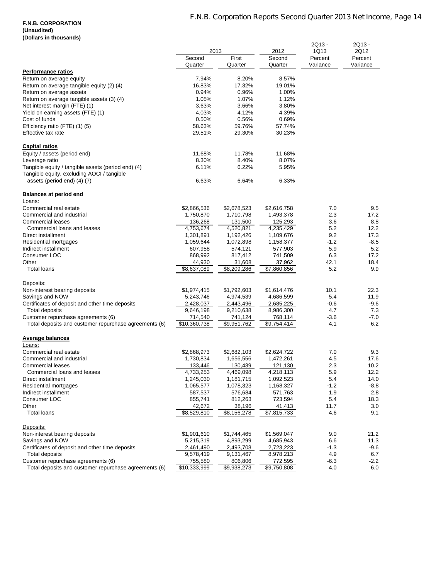|                                                                                                  |                         | 2013                   |                        | 2Q13 -<br>2012<br>1Q13 |              |
|--------------------------------------------------------------------------------------------------|-------------------------|------------------------|------------------------|------------------------|--------------|
|                                                                                                  | Second<br>Quarter       | First<br>Quarter       | Second                 | Percent<br>Variance    | Percent      |
| <u>Performance ratios</u>                                                                        |                         |                        | Quarter                |                        | Variance     |
| Return on average equity                                                                         | 7.94%                   | 8.20%                  | 8.57%                  |                        |              |
| Return on average tangible equity (2) (4)                                                        | 16.83%                  | 17.32%                 | 19.01%                 |                        |              |
| Return on average assets                                                                         | 0.94%                   | 0.96%                  | 1.00%                  |                        |              |
| Return on average tangible assets (3) (4)                                                        | 1.05%                   | 1.07%                  | 1.12%                  |                        |              |
| Net interest margin (FTE) (1)                                                                    | 3.63%                   | 3.66%                  | 3.80%                  |                        |              |
| Yield on earning assets (FTE) (1)                                                                | 4.03%                   | 4.12%                  | 4.39%                  |                        |              |
| Cost of funds                                                                                    | 0.50%                   | 0.56%                  | 0.69%                  |                        |              |
| Efficiency ratio (FTE) (1) (5)                                                                   | 58.63%                  | 59.76%                 | 57.74%                 |                        |              |
| Effective tax rate                                                                               | 29.51%                  | 29.30%                 | 30.23%                 |                        |              |
| <u>Capital ratios</u>                                                                            |                         |                        |                        |                        |              |
| Equity / assets (period end)                                                                     | 11.68%                  | 11.78%                 | 11.68%                 |                        |              |
| Leverage ratio                                                                                   | 8.30%                   | 8.40%                  | 8.07%                  |                        |              |
| Tangible equity / tangible assets (period end) (4)<br>Tangible equity, excluding AOCI / tangible | 6.11%                   | 6.22%                  | 5.95%                  |                        |              |
| assets (period end) (4) (7)                                                                      | 6.63%                   | 6.64%                  | 6.33%                  |                        |              |
| <b>Balances at period end</b><br>Loans:                                                          |                         |                        |                        |                        |              |
| Commercial real estate                                                                           | \$2,866,536             | \$2,678,523            | \$2,616,758            | 7.0                    | 9.5          |
| Commercial and industrial                                                                        | 1,750,870               | 1,710,798              | 1,493,378              | 2.3                    | 17.2         |
| Commercial leases                                                                                | 136,268                 | 131,500                | 125,293                | 3.6                    | 8.8          |
| Commercial loans and leases                                                                      | 4,753,674               | 4,520,821              | 4,235,429              | 5.2                    | 12.2         |
| Direct installment                                                                               | 1,301,891               | 1,192,426              | 1,109,676              | 9.2                    | 17.3         |
| Residential mortgages                                                                            | 1,059,644               | 1,072,898              | 1,158,377              | $-1.2$                 | $-8.5$       |
| Indirect installment                                                                             | 607,958                 | 574,121                | 577,903                | 5.9                    | 5.2          |
| Consumer LOC                                                                                     | 868,992                 | 817,412                | 741,509                | 6.3                    | 17.2         |
| Other                                                                                            | 44,930                  | 31,608                 | 37,962                 | 42.1                   | 18.4         |
| <b>Total loans</b>                                                                               | \$8,637,089             | \$8,209,286            | \$7,860,856            | 5.2                    | 9.9          |
| Deposits:                                                                                        |                         |                        |                        |                        |              |
| Non-interest bearing deposits                                                                    | \$1,974,415             | \$1,792,603            | \$1,614,476            | 10.1                   | 22.3         |
| Savings and NOW                                                                                  | 5,243,746               | 4,974,539              | 4,686,599              | 5.4                    | 11.9         |
| Certificates of deposit and other time deposits                                                  | 2,428,037               | 2,443,496              | 2,685,225              | -0.6                   | -9.6         |
| <b>Total deposits</b>                                                                            | 9,646,198               | 9,210,638              | 8,986,300              | 4.7                    | 7.3          |
| Customer repurchase agreements (6)<br>Total deposits and customer repurchase agreements (6)      | 714,540<br>\$10,360,738 | 741,124<br>\$9,951,762 | 768,114<br>\$9,754,414 | $-3.6$<br>4.1          | -7.0<br>6.2  |
| Average balances                                                                                 |                         |                        |                        |                        |              |
| Loans:                                                                                           |                         |                        |                        |                        |              |
| Commercial real estate                                                                           | \$2,868,973             | \$2,682,103            | \$2,624,722            | 7.0                    | 9.3          |
| Commercial and industrial                                                                        | 1,730,834               | 1,656,556              | 1,472,261              | 4.5                    | 17.6         |
| Commercial leases                                                                                | 133,446                 | 130,439                | 121,130                | 2.3                    | 10.2         |
| Commercial loans and leases<br>Direct installment                                                | 4,733,253               | 4,469,098              | 4,218,113<br>1,092,523 | 5.9<br>5.4             | 12.2<br>14.0 |
| Residential mortgages                                                                            | 1,245,030<br>1,065,577  | 1,181,715<br>1,078,323 | 1,168,327              | $-1.2$                 | $-8.8$       |
| Indirect installment                                                                             | 587,537                 | 576,684                | 571,763                | 1.9                    | 2.8          |
| Consumer LOC                                                                                     | 855,741                 | 812,263                | 723,594                | 5.4                    | 18.3         |
| Other                                                                                            | 42,672                  | 38,196                 | 41,413                 | 11.7                   | 3.0          |
| <b>Total loans</b>                                                                               | \$8,529,810             | \$8,156,278            | \$7,815,733            | 4.6                    | 9.1          |
| Deposits:                                                                                        |                         |                        |                        |                        |              |
| Non-interest bearing deposits                                                                    | \$1,901,610             | \$1,744,465            | \$1,569,047            | 9.0                    | 21.2         |
| Savings and NOW                                                                                  | 5,215,319               | 4,893,299              | 4,685,943              | 6.6                    | 11.3         |
| Certificates of deposit and other time deposits                                                  | 2,461,490               | 2,493,703              | 2,723,223              | -1.3                   | -9.6         |
| <b>Total deposits</b>                                                                            | 9,578,419               | 9,131,467              | 8,978,213              | 4.9                    | 6.7          |
| Customer repurchase agreements (6)                                                               | 755,580                 | 806,806                | 772,595                | $-6.3$                 | $-2.2$       |
| Total deposits and customer repurchase agreements (6)                                            | \$10,333,999            | \$9,938,273            | \$9,750,808            | 4.0                    | 6.0          |
|                                                                                                  |                         |                        |                        |                        |              |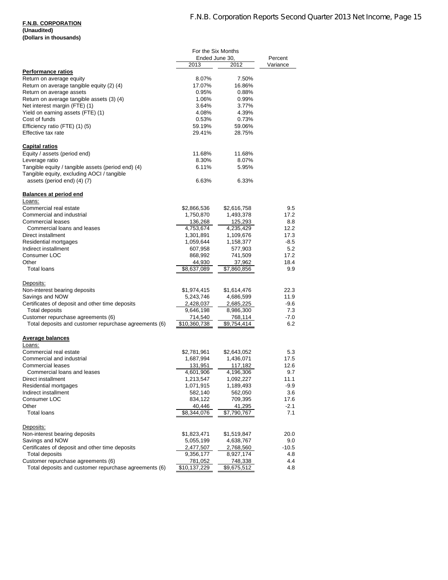|                                                                                                  | For the Six Months<br>Ended June 30. | Percent                |            |
|--------------------------------------------------------------------------------------------------|--------------------------------------|------------------------|------------|
|                                                                                                  | 2013                                 | 2012                   | Variance   |
| <b>Performance ratios</b>                                                                        |                                      |                        |            |
| Return on average equity                                                                         | 8.07%                                | 7.50%                  |            |
| Return on average tangible equity (2) (4)                                                        | 17.07%                               | 16.86%                 |            |
| Return on average assets                                                                         | 0.95%                                | 0.88%                  |            |
| Return on average tangible assets (3) (4)                                                        | 1.06%                                | 0.99%                  |            |
| Net interest margin (FTE) (1)                                                                    | 3.64%                                | 3.77%                  |            |
| Yield on earning assets (FTE) (1)                                                                | 4.08%                                | 4.39%                  |            |
| Cost of funds                                                                                    | 0.53%                                | 0.73%                  |            |
| Efficiency ratio (FTE) (1) (5)                                                                   | 59.19%                               | 59.06%                 |            |
| Effective tax rate                                                                               | 29.41%                               | 28.75%                 |            |
| <b>Capital ratios</b>                                                                            |                                      |                        |            |
| Equity / assets (period end)                                                                     | 11.68%                               | 11.68%                 |            |
| Leverage ratio                                                                                   | 8.30%                                | 8.07%                  |            |
| Tangible equity / tangible assets (period end) (4)<br>Tangible equity, excluding AOCI / tangible | 6.11%                                | 5.95%                  |            |
| assets (period end) (4) (7)                                                                      | 6.63%                                | 6.33%                  |            |
| <b>Balances at period end</b>                                                                    |                                      |                        |            |
| Loans:<br>Commercial real estate                                                                 | \$2,866,536                          | \$2,616,758            | 9.5        |
| Commercial and industrial                                                                        | 1,750,870                            | 1,493,378              | 17.2       |
| Commercial leases                                                                                | 136,268                              | 125,293                | 8.8        |
| Commercial loans and leases                                                                      | 4,753,674                            | 4,235,429              | 12.2       |
| Direct installment                                                                               | 1,301,891                            | 1,109,676              | 17.3       |
| Residential mortgages                                                                            | 1,059,644                            | 1,158,377              | $-8.5$     |
| Indirect installment                                                                             | 607,958                              | 577,903                | 5.2        |
| Consumer LOC                                                                                     | 868,992                              | 741,509                | 17.2       |
| Other                                                                                            | 44,930                               | 37,962                 | 18.4       |
| <b>Total loans</b>                                                                               | \$8,637,089                          | \$7,860,856            | 9.9        |
| Deposits:                                                                                        |                                      |                        |            |
| Non-interest bearing deposits                                                                    | \$1,974,415                          | \$1,614,476            | 22.3       |
| Savings and NOW                                                                                  | 5,243,746                            | 4,686,599              | 11.9       |
| Certificates of deposit and other time deposits                                                  | 2,428,037                            | 2,685,225              | $-9.6$     |
| <b>Total deposits</b>                                                                            | 9,646,198                            | 8,986,300              | 7.3        |
| Customer repurchase agreements (6)                                                               | 714,540                              | 768,114                | $-7.0$     |
| Total deposits and customer repurchase agreements (6)                                            | \$10,360,738                         | \$9,754,414            | 6.2        |
| <b>Average balances</b>                                                                          |                                      |                        |            |
| Loans:                                                                                           |                                      |                        |            |
| Commercial real estate                                                                           | \$2,781,961                          | \$2,643,052            | 5.3        |
| Commercial and industrial                                                                        | 1,687,994                            | 1,436,071              | 17.5       |
| <b>Commercial leases</b>                                                                         | 131,951                              | 117,182                | 12.6       |
| Commercial loans and leases                                                                      | 4,601,906                            | 4,196,306              | 9.7        |
| Direct installment                                                                               | 1,213,547                            | 1,092,227              | 11.1       |
| Residential mortgages                                                                            | 1,071,915                            | 1,189,493              | $-9.9$     |
| Indirect installment                                                                             | 582,140                              | 562,050                | 3.6        |
| Consumer LOC                                                                                     | 834,122                              | 709,395                | 17.6       |
| Other                                                                                            | 40,446                               | 41,295                 | $-2.1$     |
| <b>Total loans</b>                                                                               | \$8,344,076                          | \$7,790,767            | 7.1        |
| Deposits:                                                                                        |                                      |                        |            |
| Non-interest bearing deposits                                                                    | \$1,823,471                          | \$1,519,847            | 20.0       |
| Savings and NOW<br>Certificates of deposit and other time deposits                               | 5,055,199                            | 4,638,767<br>2,768,560 | 9.0        |
| <b>Total deposits</b>                                                                            | 2,477,507                            | 8,927,174              | $-10.5$    |
| Customer repurchase agreements (6)                                                               | 9,356,177<br>781,052                 | 748,338                | 4.8<br>4.4 |
| Total deposits and customer repurchase agreements (6)                                            | \$10,137,229                         | \$9,675,512            | 4.8        |
|                                                                                                  |                                      |                        |            |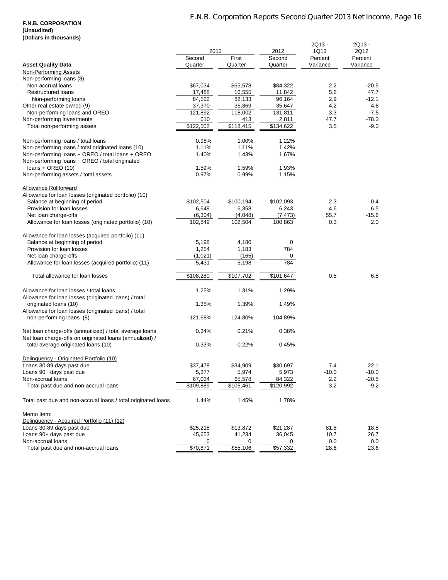# F.N.B. Corporation Reports Second Quarter 2013 Net Income, Page 16

### **F.N.B. CORPORATION**

### **(Unaudited)**

| onarə m urəasanas,                                                          | 2013                |                    | 2012                | 2Q13 -<br>1Q13 | 2Q13 -<br>2Q12     |  |
|-----------------------------------------------------------------------------|---------------------|--------------------|---------------------|----------------|--------------------|--|
|                                                                             | Second              | First              | Second              | Percent        | Percent            |  |
| <b>Asset Quality Data</b>                                                   | Quarter             | Quarter            | Quarter             | Variance       | Variance           |  |
| Non-Performing Assets                                                       |                     |                    |                     |                |                    |  |
| Non-performing loans (8)                                                    |                     |                    |                     |                |                    |  |
| Non-accrual loans                                                           | \$67,034            | \$65,578           | \$84,322            | 2.2            | $-20.5$            |  |
| Restructured loans                                                          | 17,488              | 16,555             | 11,842              | 5.6            | 47.7               |  |
| Non-performing loans                                                        | 84,522              | 82,133             | 96,164              | 2.9            | -12.1              |  |
| Other real estate owned (9)                                                 | 37,370              | 35,869             | 35,647              | 4.2            | 4.8                |  |
| Non-performing loans and OREO                                               | 121,892             | 118,002            | 131.811             | 3.3            | $-7.5$             |  |
| Non-performing investments                                                  | 610                 | 413                | 2,811               | 47.7           | -78.3              |  |
| Total non-performing assets                                                 | \$122,502           | \$118,415          | \$134,622           | 3.5            | $-9.0$             |  |
|                                                                             |                     |                    |                     |                |                    |  |
| Non-performing loans / total loans                                          | 0.98%               | 1.00%              | 1.22%               |                |                    |  |
| Non-performing loans / total originated loans (10)                          | 1.11%               | 1.11%              | 1.42%               |                |                    |  |
| Non-performing loans + OREO / total loans + OREO                            | 1.40%               | 1.43%              | 1.67%               |                |                    |  |
| Non-performing loans + OREO / total originated                              |                     |                    |                     |                |                    |  |
| loans + OREO (10)                                                           | 1.59%               | 1.59%              | 1.93%               |                |                    |  |
|                                                                             | 0.97%               |                    |                     |                |                    |  |
| Non-performing assets / total assets                                        |                     | 0.99%              | 1.15%               |                |                    |  |
| Allowance Rollforward                                                       |                     |                    |                     |                |                    |  |
| Allowance for loan losses (originated portfolio) (10)                       |                     |                    |                     |                |                    |  |
| Balance at beginning of period                                              | \$102,504           | \$100,194          | \$102,093           | 2.3            | 0.4                |  |
| Provision for loan losses                                                   | 6,649               | 6,358              | 6,243               | 4.6            | 6.5                |  |
| Net loan charge-offs                                                        |                     |                    |                     |                | $-15.6$            |  |
| Allowance for loan losses (originated portfolio) (10)                       | (6, 304)<br>102,849 | (4,048)<br>102,504 | (7, 473)<br>100,863 | 55.7<br>0.3    | 2.0                |  |
|                                                                             |                     |                    |                     |                |                    |  |
| Allowance for loan losses (acquired portfolio) (11)                         |                     |                    |                     |                |                    |  |
| Balance at beginning of period                                              | 5,198               | 4,180              | 0                   |                |                    |  |
| Provision for loan losses                                                   | 1,254               | 1,183              | 784                 |                |                    |  |
|                                                                             |                     |                    |                     |                |                    |  |
| Net loan charge-offs<br>Allowance for loan losses (acquired portfolio) (11) | (1,021)<br>5,431    | (165)<br>5,198     | 784                 |                |                    |  |
|                                                                             |                     |                    |                     |                |                    |  |
| Total allowance for loan losses                                             | \$108,280           | \$107,702          | \$101,647           | 0.5            | 6.5                |  |
|                                                                             |                     |                    |                     |                |                    |  |
| Allowance for loan losses / total loans                                     | 1.25%               | 1.31%              | 1.29%               |                |                    |  |
| Allowance for loan losses (originated loans) / total                        |                     |                    |                     |                |                    |  |
| originated loans (10)                                                       | 1.35%               | 1.39%              | 1.49%               |                |                    |  |
| Allowance for loan losses (originated loans) / total                        |                     |                    |                     |                |                    |  |
| non-performing loans (8)                                                    |                     | 124.80%            |                     |                |                    |  |
|                                                                             | 121.68%             |                    | 104.89%             |                |                    |  |
| Net loan charge-offs (annualized) / total average loans                     | 0.34%               | 0.21%              | 0.38%               |                |                    |  |
| Net loan charge-offs on originated loans (annualized) /                     |                     |                    |                     |                |                    |  |
| total average originated loans (10)                                         | 0.33%               | 0.22%              | 0.45%               |                |                    |  |
|                                                                             |                     |                    |                     |                |                    |  |
| Delinquency - Originated Portfolio (10)                                     |                     |                    |                     |                |                    |  |
| Loans 30-89 days past due                                                   | \$37,478            | \$34,909           | \$30,697            | 7.4            | 22.1               |  |
| Loans 90+ days past due                                                     |                     |                    |                     | $-10.0$        |                    |  |
| Non-accrual loans                                                           | 5,377<br>67,034     | 5,974<br>65,578    | 5,973<br>84,322     | 2.2            | $-10.0$<br>$-20.5$ |  |
| Total past due and non-accrual loans                                        | \$109,889           | \$106,461          | \$120,992           | 3.2            | $-9.2$             |  |
|                                                                             |                     |                    |                     |                |                    |  |
| Total past due and non-accrual loans / total originated loans               | 1.44%               | 1.45%              | 1.78%               |                |                    |  |
| Memo item:                                                                  |                     |                    |                     |                |                    |  |
| Delinquency - Acquired Portfolio (11) (12)                                  |                     |                    |                     |                |                    |  |
| Loans 30-89 days past due                                                   | \$25,218            |                    |                     |                |                    |  |
| Loans 90+ days past due                                                     | 45,653              | \$13,872           | \$21,287<br>36,045  | 81.8<br>10.7   | 18.5               |  |
| Non-accrual loans                                                           | 0                   | 41,234<br>0        | 0                   | 0.0            | 26.7<br>0.0        |  |
| Total past due and non-accrual loans                                        | \$70,871            | \$55,106           | \$57,332            | 28.6           | 23.6               |  |
|                                                                             |                     |                    |                     |                |                    |  |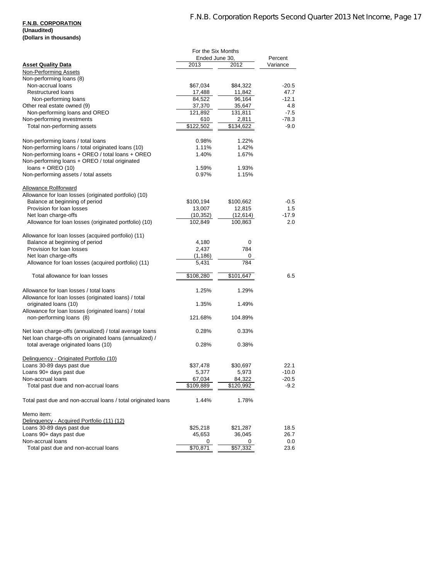#### **(Unaudited) (Dollars in thousands)**

|                                                                                                                    | For the Six Months<br>Ended June 30. |           | Percent  |
|--------------------------------------------------------------------------------------------------------------------|--------------------------------------|-----------|----------|
| <b>Asset Quality Data</b>                                                                                          | 2013                                 | 2012      | Variance |
| Non-Performing Assets                                                                                              |                                      |           |          |
| Non-performing loans (8)                                                                                           |                                      |           |          |
| Non-accrual loans                                                                                                  | \$67,034                             | \$84,322  | $-20.5$  |
| <b>Restructured loans</b>                                                                                          | 17,488                               | 11,842    | 47.7     |
| Non-performing loans                                                                                               | 84,522                               | 96,164    | $-12.1$  |
| Other real estate owned (9)                                                                                        | 37,370                               | 35,647    | 4.8      |
| Non-performing loans and OREO                                                                                      | 121,892                              | 131,811   | $-7.5$   |
| Non-performing investments                                                                                         | 610                                  | 2,811     | $-78.3$  |
| Total non-performing assets                                                                                        | \$122,502                            | \$134,622 | $-9.0$   |
| Non-performing loans / total loans                                                                                 | 0.98%                                | 1.22%     |          |
| Non-performing loans / total originated loans (10)                                                                 | 1.11%                                | 1.42%     |          |
| Non-performing loans + OREO / total loans + OREO                                                                   | 1.40%                                | 1.67%     |          |
| Non-performing loans + OREO / total originated                                                                     |                                      |           |          |
| $loans + OREO(10)$                                                                                                 | 1.59%                                | 1.93%     |          |
| Non-performing assets / total assets                                                                               | 0.97%                                | 1.15%     |          |
| <b>Allowance Rollforward</b>                                                                                       |                                      |           |          |
| Allowance for loan losses (originated portfolio) (10)                                                              |                                      |           |          |
| Balance at beginning of period                                                                                     | \$100,194                            | \$100,662 | -0.5     |
| Provision for loan losses                                                                                          | 13,007                               | 12,815    | 1.5      |
| Net loan charge-offs                                                                                               | (10, 352)                            | (12, 614) | $-17.9$  |
| Allowance for loan losses (originated portfolio) (10)                                                              | 102,849                              | 100,863   | 2.0      |
| Allowance for loan losses (acquired portfolio) (11)                                                                |                                      |           |          |
| Balance at beginning of period                                                                                     | 4,180                                | 0         |          |
| Provision for loan losses                                                                                          | 2,437                                | 784       |          |
| Net loan charge-offs                                                                                               | (1, 186)                             | 0         |          |
| Allowance for loan losses (acquired portfolio) (11)                                                                | 5,431                                | 784       |          |
| Total allowance for loan losses                                                                                    | \$108,280                            | \$101,647 | 6.5      |
| Allowance for loan losses / total loans                                                                            | 1.25%                                | 1.29%     |          |
| Allowance for loan losses (originated loans) / total                                                               |                                      |           |          |
| originated loans (10)                                                                                              | 1.35%                                | 1.49%     |          |
| Allowance for loan losses (originated loans) / total                                                               |                                      |           |          |
| non-performing loans (8)                                                                                           | 121.68%                              | 104.89%   |          |
| Net loan charge-offs (annualized) / total average loans<br>Net loan charge-offs on originated loans (annualized) / | 0.28%                                | 0.33%     |          |
| total average originated loans (10)                                                                                | 0.28%                                | 0.38%     |          |
| Delinquency - Originated Portfolio (10)                                                                            |                                      |           |          |
| Loans 30-89 days past due                                                                                          | \$37,478                             | \$30,697  | 22.1     |
| Loans 90+ days past due                                                                                            | 5,377                                | 5,973     | -10.0    |
| Non-accrual loans                                                                                                  | 67,034                               | 84,322    | -20.5    |
| Total past due and non-accrual loans                                                                               | \$109,889                            | \$120,992 | -9.2     |
| Total past due and non-accrual loans / total originated loans                                                      | 1.44%                                | 1.78%     |          |
| Memo item:                                                                                                         |                                      |           |          |
| Delinquency - Acquired Portfolio (11) (12)                                                                         |                                      |           |          |
| Loans 30-89 days past due                                                                                          | \$25,218                             | \$21,287  | 18.5     |
| Loans 90+ days past due                                                                                            | 45,653                               | 36,045    | 26.7     |
| Non-accrual loans                                                                                                  | 0                                    | 0         | $0.0\,$  |
| Total past due and non-accrual loans                                                                               | \$70,871                             | \$57,332  | 23.6     |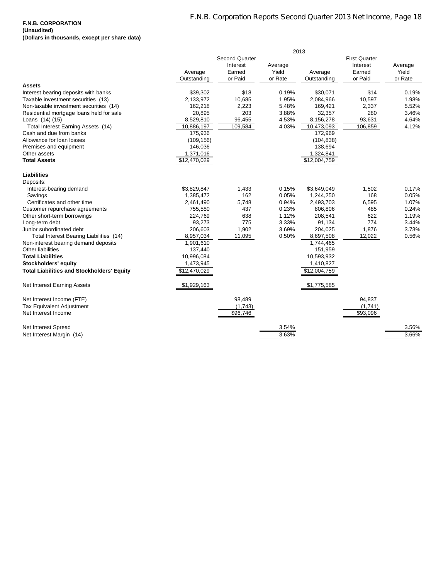**(Unaudited)**

|                                                   |              |                       |         | 2013         |                      |         |
|---------------------------------------------------|--------------|-----------------------|---------|--------------|----------------------|---------|
|                                                   |              | <b>Second Quarter</b> |         |              | <b>First Quarter</b> |         |
|                                                   |              | Interest              | Average |              | Interest             | Average |
|                                                   | Average      | Earned                | Yield   | Average      | Earned               | Yield   |
|                                                   | Outstanding  | or Paid               | or Rate | Outstanding  | or Paid              | or Rate |
| <b>Assets</b>                                     |              |                       |         |              |                      |         |
| Interest bearing deposits with banks              | \$39,302     | \$18                  | 0.19%   | \$30,071     | \$14                 | 0.19%   |
| Taxable investment securities (13)                | 2,133,972    | 10,685                | 1.95%   | 2,084,966    | 10,597               | 1.98%   |
| Non-taxable investment securities (14)            | 162,218      | 2,223                 | 5.48%   | 169,421      | 2,337                | 5.52%   |
| Residential mortgage loans held for sale          | 20,895       | 203                   | 3.88%   | 32,357       | 280                  | 3.46%   |
| Loans (14) (15)                                   | 8,529,810    | 96,455                | 4.53%   | 8,156,278    | 93,631               | 4.64%   |
| Total Interest Earning Assets (14)                | 10,886,197   | 109,584               | 4.03%   | 10,473,093   | 106,859              | 4.12%   |
| Cash and due from banks                           | 175,936      |                       |         | 172,969      |                      |         |
| Allowance for loan losses                         | (109, 156)   |                       |         | (104, 838)   |                      |         |
| Premises and equipment                            | 146,036      |                       |         | 138,694      |                      |         |
| Other assets                                      | 1,371,016    |                       |         | 1,324,841    |                      |         |
| <b>Total Assets</b>                               | \$12,470,029 |                       |         | \$12,004,759 |                      |         |
| <b>Liabilities</b>                                |              |                       |         |              |                      |         |
| Deposits:                                         |              |                       |         |              |                      |         |
| Interest-bearing demand                           | \$3,829,847  | 1,433                 | 0.15%   | \$3,649,049  | 1,502                | 0.17%   |
| Savings                                           | 1,385,472    | 162                   | 0.05%   | 1,244,250    | 168                  | 0.05%   |
| Certificates and other time                       | 2,461,490    | 5,748                 | 0.94%   | 2,493,703    | 6,595                | 1.07%   |
| Customer repurchase agreements                    | 755,580      | 437                   | 0.23%   | 806,806      | 485                  | 0.24%   |
| Other short-term borrowings                       | 224,769      | 638                   | 1.12%   | 208,541      | 622                  | 1.19%   |
| Long-term debt                                    | 93,273       | 775                   | 3.33%   | 91,134       | 774                  | 3.44%   |
| Junior subordinated debt                          | 206,603      | 1,902                 | 3.69%   | 204,025      | 1,876                | 3.73%   |
| Total Interest Bearing Liabilities (14)           | 8,957,034    | 11,095                | 0.50%   | 8,697,508    | 12,022               | 0.56%   |
| Non-interest bearing demand deposits              | 1,901,610    |                       |         | 1,744,465    |                      |         |
| Other liabilities                                 | 137,440      |                       |         | 151,959      |                      |         |
| <b>Total Liabilities</b>                          | 10,996,084   |                       |         | 10,593,932   |                      |         |
| Stockholders' equity                              | 1,473,945    |                       |         | 1,410,827    |                      |         |
| <b>Total Liabilities and Stockholders' Equity</b> | \$12,470,029 |                       |         | \$12,004,759 |                      |         |
| Net Interest Earning Assets                       | \$1,929,163  |                       |         | \$1,775,585  |                      |         |
| Net Interest Income (FTE)                         |              | 98,489                |         |              | 94,837               |         |
| Tax Equivalent Adjustment                         |              | (1,743)               |         |              | (1,741)              |         |
| Net Interest Income                               |              | \$96,746              |         |              | \$93,096             |         |
| Net Interest Spread                               |              |                       | 3.54%   |              |                      | 3.56%   |
| Net Interest Margin (14)                          |              |                       | 3.63%   |              |                      | 3.66%   |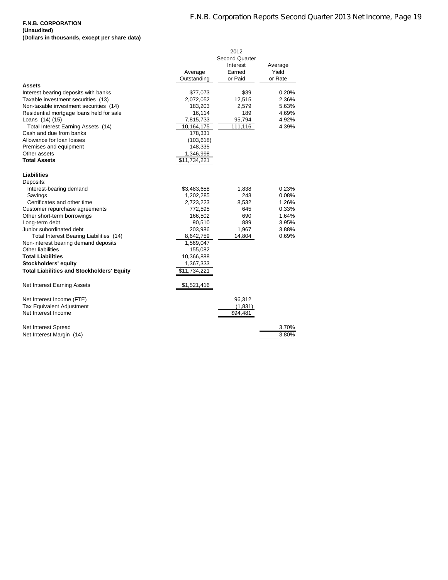**(Unaudited)**

| Second Quarter<br>Interest<br>Average<br>Yield<br>Average<br>Earned<br>Outstanding<br>or Paid<br>or Rate<br><b>Assets</b><br>Interest bearing deposits with banks<br>\$77,073<br>\$39<br>0.20%<br>Taxable investment securities (13)<br>2.36%<br>2,072,052<br>12,515<br>Non-taxable investment securities (14)<br>5.63%<br>183,203<br>2,579<br>Residential mortgage loans held for sale<br>16,114<br>189<br>4.69%<br>7,815,733<br>95,794<br>4.92%<br>Loans (14) (15)<br>Total Interest Earning Assets (14)<br>111,116<br>4.39%<br>10,164,175<br>Cash and due from banks<br>178,331<br>Allowance for loan losses<br>(103, 618)<br>Premises and equipment<br>148,335<br>Other assets<br>1,346,998<br><b>Total Assets</b><br>\$11,734,221<br>Liabilities<br>Deposits:<br>Interest-bearing demand<br>0.23%<br>\$3,483,658<br>1,838<br>0.08%<br>Savings<br>1,202,285<br>243<br>Certificates and other time<br>1.26%<br>2,723,223<br>8,532<br>Customer repurchase agreements<br>772,595<br>645<br>0.33%<br>Other short-term borrowings<br>166,502<br>690<br>1.64%<br>Long-term debt<br>90,510<br>889<br>3.95%<br>Junior subordinated debt<br>203,986<br>1,967<br>3.88%<br>8,642,759<br>Total Interest Bearing Liabilities (14)<br>14,804<br>0.69%<br>Non-interest bearing demand deposits<br>1,569,047<br>Other liabilities<br>155,082<br><b>Total Liabilities</b><br>10,366,888<br>Stockholders' equity<br>1,367,333<br><b>Total Liabilities and Stockholders' Equity</b><br>\$11,734,221<br>Net Interest Earning Assets<br>\$1,521,416<br>Net Interest Income (FTE)<br>96,312<br><b>Tax Equivalent Adjustment</b><br>(1,831)<br>Net Interest Income<br>\$94,481<br>3.70%<br>Net Interest Spread<br>Net Interest Margin (14)<br>3.80% | 2012 |  |  |  |
|----------------------------------------------------------------------------------------------------------------------------------------------------------------------------------------------------------------------------------------------------------------------------------------------------------------------------------------------------------------------------------------------------------------------------------------------------------------------------------------------------------------------------------------------------------------------------------------------------------------------------------------------------------------------------------------------------------------------------------------------------------------------------------------------------------------------------------------------------------------------------------------------------------------------------------------------------------------------------------------------------------------------------------------------------------------------------------------------------------------------------------------------------------------------------------------------------------------------------------------------------------------------------------------------------------------------------------------------------------------------------------------------------------------------------------------------------------------------------------------------------------------------------------------------------------------------------------------------------------------------------------------------------------------------------------------------------------------------------------|------|--|--|--|
|                                                                                                                                                                                                                                                                                                                                                                                                                                                                                                                                                                                                                                                                                                                                                                                                                                                                                                                                                                                                                                                                                                                                                                                                                                                                                                                                                                                                                                                                                                                                                                                                                                                                                                                                  |      |  |  |  |
|                                                                                                                                                                                                                                                                                                                                                                                                                                                                                                                                                                                                                                                                                                                                                                                                                                                                                                                                                                                                                                                                                                                                                                                                                                                                                                                                                                                                                                                                                                                                                                                                                                                                                                                                  |      |  |  |  |
|                                                                                                                                                                                                                                                                                                                                                                                                                                                                                                                                                                                                                                                                                                                                                                                                                                                                                                                                                                                                                                                                                                                                                                                                                                                                                                                                                                                                                                                                                                                                                                                                                                                                                                                                  |      |  |  |  |
|                                                                                                                                                                                                                                                                                                                                                                                                                                                                                                                                                                                                                                                                                                                                                                                                                                                                                                                                                                                                                                                                                                                                                                                                                                                                                                                                                                                                                                                                                                                                                                                                                                                                                                                                  |      |  |  |  |
|                                                                                                                                                                                                                                                                                                                                                                                                                                                                                                                                                                                                                                                                                                                                                                                                                                                                                                                                                                                                                                                                                                                                                                                                                                                                                                                                                                                                                                                                                                                                                                                                                                                                                                                                  |      |  |  |  |
|                                                                                                                                                                                                                                                                                                                                                                                                                                                                                                                                                                                                                                                                                                                                                                                                                                                                                                                                                                                                                                                                                                                                                                                                                                                                                                                                                                                                                                                                                                                                                                                                                                                                                                                                  |      |  |  |  |
|                                                                                                                                                                                                                                                                                                                                                                                                                                                                                                                                                                                                                                                                                                                                                                                                                                                                                                                                                                                                                                                                                                                                                                                                                                                                                                                                                                                                                                                                                                                                                                                                                                                                                                                                  |      |  |  |  |
|                                                                                                                                                                                                                                                                                                                                                                                                                                                                                                                                                                                                                                                                                                                                                                                                                                                                                                                                                                                                                                                                                                                                                                                                                                                                                                                                                                                                                                                                                                                                                                                                                                                                                                                                  |      |  |  |  |
|                                                                                                                                                                                                                                                                                                                                                                                                                                                                                                                                                                                                                                                                                                                                                                                                                                                                                                                                                                                                                                                                                                                                                                                                                                                                                                                                                                                                                                                                                                                                                                                                                                                                                                                                  |      |  |  |  |
|                                                                                                                                                                                                                                                                                                                                                                                                                                                                                                                                                                                                                                                                                                                                                                                                                                                                                                                                                                                                                                                                                                                                                                                                                                                                                                                                                                                                                                                                                                                                                                                                                                                                                                                                  |      |  |  |  |
|                                                                                                                                                                                                                                                                                                                                                                                                                                                                                                                                                                                                                                                                                                                                                                                                                                                                                                                                                                                                                                                                                                                                                                                                                                                                                                                                                                                                                                                                                                                                                                                                                                                                                                                                  |      |  |  |  |
|                                                                                                                                                                                                                                                                                                                                                                                                                                                                                                                                                                                                                                                                                                                                                                                                                                                                                                                                                                                                                                                                                                                                                                                                                                                                                                                                                                                                                                                                                                                                                                                                                                                                                                                                  |      |  |  |  |
|                                                                                                                                                                                                                                                                                                                                                                                                                                                                                                                                                                                                                                                                                                                                                                                                                                                                                                                                                                                                                                                                                                                                                                                                                                                                                                                                                                                                                                                                                                                                                                                                                                                                                                                                  |      |  |  |  |
|                                                                                                                                                                                                                                                                                                                                                                                                                                                                                                                                                                                                                                                                                                                                                                                                                                                                                                                                                                                                                                                                                                                                                                                                                                                                                                                                                                                                                                                                                                                                                                                                                                                                                                                                  |      |  |  |  |
|                                                                                                                                                                                                                                                                                                                                                                                                                                                                                                                                                                                                                                                                                                                                                                                                                                                                                                                                                                                                                                                                                                                                                                                                                                                                                                                                                                                                                                                                                                                                                                                                                                                                                                                                  |      |  |  |  |
|                                                                                                                                                                                                                                                                                                                                                                                                                                                                                                                                                                                                                                                                                                                                                                                                                                                                                                                                                                                                                                                                                                                                                                                                                                                                                                                                                                                                                                                                                                                                                                                                                                                                                                                                  |      |  |  |  |
|                                                                                                                                                                                                                                                                                                                                                                                                                                                                                                                                                                                                                                                                                                                                                                                                                                                                                                                                                                                                                                                                                                                                                                                                                                                                                                                                                                                                                                                                                                                                                                                                                                                                                                                                  |      |  |  |  |
|                                                                                                                                                                                                                                                                                                                                                                                                                                                                                                                                                                                                                                                                                                                                                                                                                                                                                                                                                                                                                                                                                                                                                                                                                                                                                                                                                                                                                                                                                                                                                                                                                                                                                                                                  |      |  |  |  |
|                                                                                                                                                                                                                                                                                                                                                                                                                                                                                                                                                                                                                                                                                                                                                                                                                                                                                                                                                                                                                                                                                                                                                                                                                                                                                                                                                                                                                                                                                                                                                                                                                                                                                                                                  |      |  |  |  |
|                                                                                                                                                                                                                                                                                                                                                                                                                                                                                                                                                                                                                                                                                                                                                                                                                                                                                                                                                                                                                                                                                                                                                                                                                                                                                                                                                                                                                                                                                                                                                                                                                                                                                                                                  |      |  |  |  |
|                                                                                                                                                                                                                                                                                                                                                                                                                                                                                                                                                                                                                                                                                                                                                                                                                                                                                                                                                                                                                                                                                                                                                                                                                                                                                                                                                                                                                                                                                                                                                                                                                                                                                                                                  |      |  |  |  |
|                                                                                                                                                                                                                                                                                                                                                                                                                                                                                                                                                                                                                                                                                                                                                                                                                                                                                                                                                                                                                                                                                                                                                                                                                                                                                                                                                                                                                                                                                                                                                                                                                                                                                                                                  |      |  |  |  |
|                                                                                                                                                                                                                                                                                                                                                                                                                                                                                                                                                                                                                                                                                                                                                                                                                                                                                                                                                                                                                                                                                                                                                                                                                                                                                                                                                                                                                                                                                                                                                                                                                                                                                                                                  |      |  |  |  |
|                                                                                                                                                                                                                                                                                                                                                                                                                                                                                                                                                                                                                                                                                                                                                                                                                                                                                                                                                                                                                                                                                                                                                                                                                                                                                                                                                                                                                                                                                                                                                                                                                                                                                                                                  |      |  |  |  |
|                                                                                                                                                                                                                                                                                                                                                                                                                                                                                                                                                                                                                                                                                                                                                                                                                                                                                                                                                                                                                                                                                                                                                                                                                                                                                                                                                                                                                                                                                                                                                                                                                                                                                                                                  |      |  |  |  |
|                                                                                                                                                                                                                                                                                                                                                                                                                                                                                                                                                                                                                                                                                                                                                                                                                                                                                                                                                                                                                                                                                                                                                                                                                                                                                                                                                                                                                                                                                                                                                                                                                                                                                                                                  |      |  |  |  |
|                                                                                                                                                                                                                                                                                                                                                                                                                                                                                                                                                                                                                                                                                                                                                                                                                                                                                                                                                                                                                                                                                                                                                                                                                                                                                                                                                                                                                                                                                                                                                                                                                                                                                                                                  |      |  |  |  |
|                                                                                                                                                                                                                                                                                                                                                                                                                                                                                                                                                                                                                                                                                                                                                                                                                                                                                                                                                                                                                                                                                                                                                                                                                                                                                                                                                                                                                                                                                                                                                                                                                                                                                                                                  |      |  |  |  |
|                                                                                                                                                                                                                                                                                                                                                                                                                                                                                                                                                                                                                                                                                                                                                                                                                                                                                                                                                                                                                                                                                                                                                                                                                                                                                                                                                                                                                                                                                                                                                                                                                                                                                                                                  |      |  |  |  |
|                                                                                                                                                                                                                                                                                                                                                                                                                                                                                                                                                                                                                                                                                                                                                                                                                                                                                                                                                                                                                                                                                                                                                                                                                                                                                                                                                                                                                                                                                                                                                                                                                                                                                                                                  |      |  |  |  |
|                                                                                                                                                                                                                                                                                                                                                                                                                                                                                                                                                                                                                                                                                                                                                                                                                                                                                                                                                                                                                                                                                                                                                                                                                                                                                                                                                                                                                                                                                                                                                                                                                                                                                                                                  |      |  |  |  |
|                                                                                                                                                                                                                                                                                                                                                                                                                                                                                                                                                                                                                                                                                                                                                                                                                                                                                                                                                                                                                                                                                                                                                                                                                                                                                                                                                                                                                                                                                                                                                                                                                                                                                                                                  |      |  |  |  |
|                                                                                                                                                                                                                                                                                                                                                                                                                                                                                                                                                                                                                                                                                                                                                                                                                                                                                                                                                                                                                                                                                                                                                                                                                                                                                                                                                                                                                                                                                                                                                                                                                                                                                                                                  |      |  |  |  |
|                                                                                                                                                                                                                                                                                                                                                                                                                                                                                                                                                                                                                                                                                                                                                                                                                                                                                                                                                                                                                                                                                                                                                                                                                                                                                                                                                                                                                                                                                                                                                                                                                                                                                                                                  |      |  |  |  |
|                                                                                                                                                                                                                                                                                                                                                                                                                                                                                                                                                                                                                                                                                                                                                                                                                                                                                                                                                                                                                                                                                                                                                                                                                                                                                                                                                                                                                                                                                                                                                                                                                                                                                                                                  |      |  |  |  |
|                                                                                                                                                                                                                                                                                                                                                                                                                                                                                                                                                                                                                                                                                                                                                                                                                                                                                                                                                                                                                                                                                                                                                                                                                                                                                                                                                                                                                                                                                                                                                                                                                                                                                                                                  |      |  |  |  |
|                                                                                                                                                                                                                                                                                                                                                                                                                                                                                                                                                                                                                                                                                                                                                                                                                                                                                                                                                                                                                                                                                                                                                                                                                                                                                                                                                                                                                                                                                                                                                                                                                                                                                                                                  |      |  |  |  |
|                                                                                                                                                                                                                                                                                                                                                                                                                                                                                                                                                                                                                                                                                                                                                                                                                                                                                                                                                                                                                                                                                                                                                                                                                                                                                                                                                                                                                                                                                                                                                                                                                                                                                                                                  |      |  |  |  |
|                                                                                                                                                                                                                                                                                                                                                                                                                                                                                                                                                                                                                                                                                                                                                                                                                                                                                                                                                                                                                                                                                                                                                                                                                                                                                                                                                                                                                                                                                                                                                                                                                                                                                                                                  |      |  |  |  |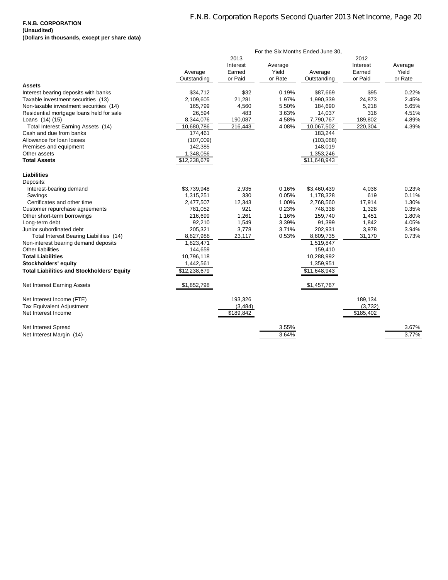**(Unaudited)**

|                                                   |              |              |         | For the Six Months Ended June 30, |           |         |  |
|---------------------------------------------------|--------------|--------------|---------|-----------------------------------|-----------|---------|--|
|                                                   |              | 2013<br>2012 |         |                                   |           |         |  |
|                                                   |              | Interest     | Average |                                   | Interest  | Average |  |
|                                                   | Average      | Earned       | Yield   | Average                           | Earned    | Yield   |  |
|                                                   | Outstanding  | or Paid      | or Rate | Outstanding                       | or Paid   | or Rate |  |
| <b>Assets</b>                                     |              |              |         |                                   |           |         |  |
| Interest bearing deposits with banks              | \$34,712     | \$32         | 0.19%   | \$87,669                          | \$95      | 0.22%   |  |
| Taxable investment securities (13)                | 2,109,605    | 21,281       | 1.97%   | 1,990,339                         | 24,873    | 2.45%   |  |
| Non-taxable investment securities (14)            | 165,799      | 4,560        | 5.50%   | 184,690                           | 5,218     | 5.65%   |  |
| Residential mortgage loans held for sale          | 26,594       | 483          | 3.63%   | 14,037                            | 316       | 4.51%   |  |
| Loans (14) (15)                                   | 8,344,076    | 190,087      | 4.58%   | 7,790,767                         | 189,802   | 4.89%   |  |
| Total Interest Earning Assets (14)                | 10,680,786   | 216,443      | 4.08%   | 10,067,502                        | 220,304   | 4.39%   |  |
| Cash and due from banks                           | 174,461      |              |         | 183,244                           |           |         |  |
| Allowance for loan losses                         | (107,009)    |              |         | (103,068)                         |           |         |  |
| Premises and equipment                            | 142,385      |              |         | 148,019                           |           |         |  |
| Other assets                                      | 1,348,056    |              |         | 1,353,246                         |           |         |  |
| <b>Total Assets</b>                               | \$12,238,679 |              |         | \$11,648,943                      |           |         |  |
| <b>Liabilities</b>                                |              |              |         |                                   |           |         |  |
| Deposits:                                         |              |              |         |                                   |           |         |  |
| Interest-bearing demand                           | \$3,739,948  | 2,935        | 0.16%   | \$3,460,439                       | 4,038     | 0.23%   |  |
| Savings                                           | 1,315,251    | 330          | 0.05%   | 1,178,328                         | 619       | 0.11%   |  |
| Certificates and other time                       | 2,477,507    | 12,343       | 1.00%   | 2,768,560                         | 17,914    | 1.30%   |  |
| Customer repurchase agreements                    | 781,052      | 921          | 0.23%   | 748,338                           | 1,328     | 0.35%   |  |
| Other short-term borrowings                       | 216,699      | 1,261        | 1.16%   | 159,740                           | 1,451     | 1.80%   |  |
| Long-term debt                                    | 92,210       | 1,549        | 3.39%   | 91,399                            | 1,842     | 4.05%   |  |
| Junior subordinated debt                          | 205,321      | 3,778        | 3.71%   | 202,931                           | 3,978     | 3.94%   |  |
| Total Interest Bearing Liabilities (14)           | 8,827,988    | 23,117       | 0.53%   | 8,609,735                         | 31,170    | 0.73%   |  |
| Non-interest bearing demand deposits              | 1,823,471    |              |         | 1,519,847                         |           |         |  |
| <b>Other liabilities</b>                          | 144,659      |              |         | 159,410                           |           |         |  |
| <b>Total Liabilities</b>                          | 10,796,118   |              |         | 10,288,992                        |           |         |  |
| Stockholders' equity                              | 1,442,561    |              |         | 1,359,951                         |           |         |  |
| <b>Total Liabilities and Stockholders' Equity</b> | \$12,238,679 |              |         | \$11,648,943                      |           |         |  |
| Net Interest Earning Assets                       | \$1,852,798  |              |         | \$1,457,767                       |           |         |  |
| Net Interest Income (FTE)                         |              | 193,326      |         |                                   | 189,134   |         |  |
| Tax Equivalent Adjustment                         |              | (3, 484)     |         |                                   | (3,732)   |         |  |
| Net Interest Income                               |              | \$189,842    |         |                                   | \$185,402 |         |  |
| Net Interest Spread                               |              |              | 3.55%   |                                   |           | 3.67%   |  |
| Net Interest Margin (14)                          |              |              | 3.64%   |                                   |           | 3.77%   |  |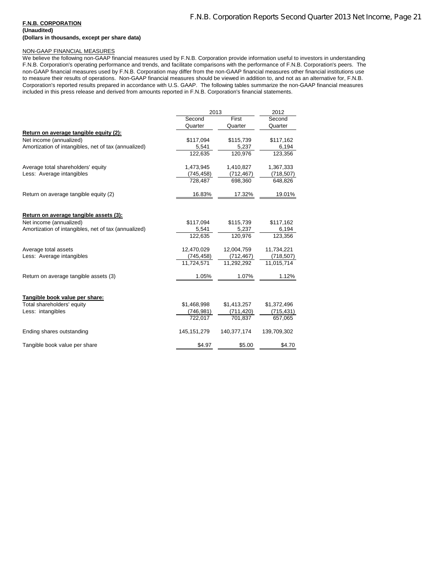### **(Unaudited)**

### **(Dollars in thousands, except per share data)**

### NON-GAAP FINANCIAL MEASURES

We believe the following non-GAAP financial measures used by F.N.B. Corporation provide information useful to investors in understanding F.N.B. Corporation's operating performance and trends, and facilitate comparisons with the performance of F.N.B. Corporation's peers. The non-GAAP financial measures used by F.N.B. Corporation may differ from the non-GAAP financial measures other financial institutions use to measure their results of operations. Non-GAAP financial measures should be viewed in addition to, and not as an alternative for, F.N.B. Corporation's reported results prepared in accordance with U.S. GAAP. The following tables summarize the non-GAAP financial measures included in this press release and derived from amounts reported in F.N.B. Corporation's financial statements.

|                                                      | 2013          |             | 2012        |
|------------------------------------------------------|---------------|-------------|-------------|
|                                                      | Second        | First       | Second      |
|                                                      | Quarter       | Quarter     | Quarter     |
| Return on average tangible equity (2):               |               |             |             |
| Net income (annualized)                              | \$117,094     | \$115,739   | \$117,162   |
| Amortization of intangibles, net of tax (annualized) | 5,541         | 5,237       | 6,194       |
|                                                      | 122,635       | 120,976     | 123,356     |
| Average total shareholders' equity                   | 1,473,945     | 1,410,827   | 1,367,333   |
| Less: Average intangibles                            | (745, 458)    | (712,467)   | (718, 507)  |
|                                                      | 728,487       | 698,360     | 648,826     |
| Return on average tangible equity (2)                | 16.83%        | 17.32%      | 19.01%      |
|                                                      |               |             |             |
| Return on average tangible assets (3):               |               |             |             |
| Net income (annualized)                              | \$117,094     | \$115,739   | \$117,162   |
| Amortization of intangibles, net of tax (annualized) | 5,541         | 5,237       | 6,194       |
|                                                      | 122.635       | 120,976     | 123,356     |
| Average total assets                                 | 12,470,029    | 12,004,759  | 11,734,221  |
| Less: Average intangibles                            | (745, 458)    | (712,467)   | (718, 507)  |
|                                                      | 11,724,571    | 11,292,292  | 11,015,714  |
| Return on average tangible assets (3)                | 1.05%         | 1.07%       | 1.12%       |
|                                                      |               |             |             |
| Tangible book value per share:                       |               |             |             |
| Total shareholders' equity                           | \$1,468,998   | \$1,413,257 | \$1,372,496 |
| Less: intangibles                                    | (746, 981)    | (711,420)   | (715,431)   |
|                                                      | 722.017       | 701,837     | 657,065     |
| Ending shares outstanding                            | 145, 151, 279 | 140,377,174 | 139,709,302 |
| Tangible book value per share                        | \$4.97        | \$5.00      | \$4.70      |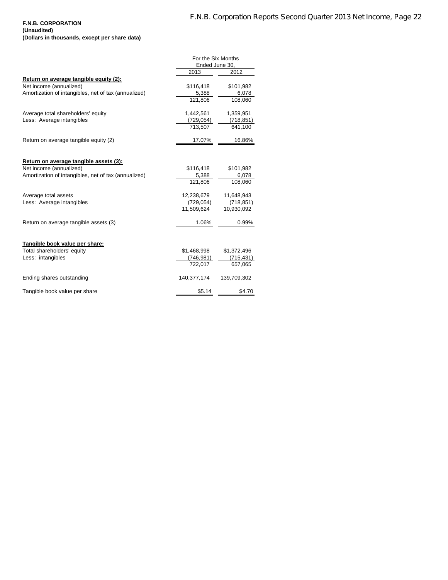**(Unaudited)**

|                                                      |             | For the Six Months |  |  |
|------------------------------------------------------|-------------|--------------------|--|--|
|                                                      |             | Ended June 30,     |  |  |
|                                                      | 2013        | 2012               |  |  |
| Return on average tangible equity (2):               |             |                    |  |  |
| Net income (annualized)                              | \$116,418   | \$101,982          |  |  |
| Amortization of intangibles, net of tax (annualized) | 5,388       | 6,078              |  |  |
|                                                      | 121,806     | 108,060            |  |  |
| Average total shareholders' equity                   | 1,442,561   | 1,359,951          |  |  |
| Less: Average intangibles                            | (729,054)   | (718,851)          |  |  |
|                                                      | 713,507     | 641,100            |  |  |
| Return on average tangible equity (2)                | 17.07%      | 16.86%             |  |  |
|                                                      |             |                    |  |  |
| Return on average tangible assets (3):               |             |                    |  |  |
| Net income (annualized)                              | \$116,418   | \$101,982          |  |  |
| Amortization of intangibles, net of tax (annualized) | 5,388       | 6,078              |  |  |
|                                                      | 121.806     | 108.060            |  |  |
| Average total assets                                 | 12,238,679  | 11,648,943         |  |  |
| Less: Average intangibles                            | (729, 054)  | (718, 851)         |  |  |
|                                                      | 11.509.624  | 10,930,092         |  |  |
| Return on average tangible assets (3)                | 1.06%       | 0.99%              |  |  |
|                                                      |             |                    |  |  |
| Tangible book value per share:                       | \$1,468,998 | \$1,372,496        |  |  |
| Total shareholders' equity                           |             |                    |  |  |
| Less: intangibles                                    | (746, 981)  | (715,431)          |  |  |
|                                                      | 722.017     | 657,065            |  |  |
| Ending shares outstanding                            | 140,377,174 | 139,709,302        |  |  |
| Tangible book value per share                        | \$5.14      | \$4.70             |  |  |